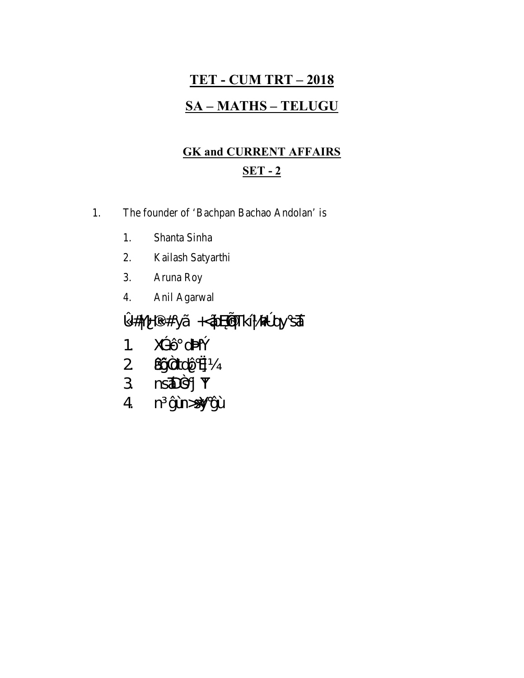# **TET - CUM TRT - 2018 SA-MATHS-TELUGU**

#### **GK and CURRENT AFFAIRS**  $SET - 2$

1. The founder of 'Bachpan Bachao Andolan' is

- 1. Shanta Sinha
- Kailash Satyarthi  $2.$
- $3.$ Aruna Roy
- Anil Agarwal  $4.$

» #YH # yà  $\star$ ÃĐ qTkÍ| 34 ay sÁ

- 1.  $X\oplus 0$  of  $W_2$
- 2 ADPdtdOs
- 3 nsibsj Y
- 4 n ýùh>sy ýÙ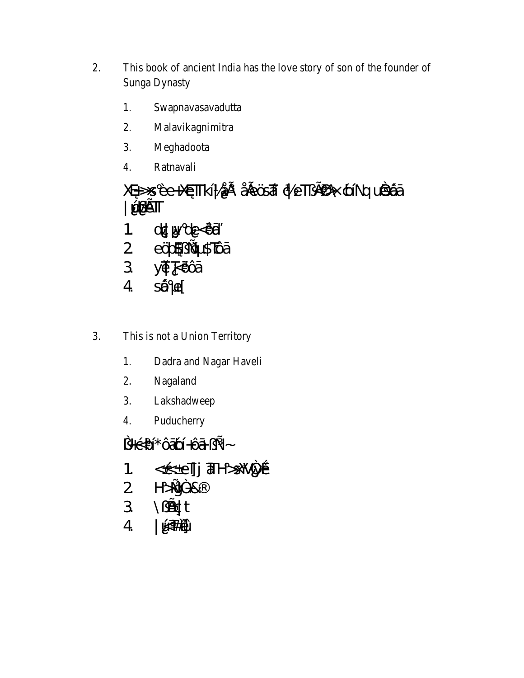- This book of ancient India has the love story of son of the founder of 2. Sunga Dynasty
	- Swapnavasavadutta 1.
	- $2.$ Malavikagnimitra
	- 3. Meghadoota
	- $\overline{4}$ . Ratnavali

### Xa>s Ee+XosTTkÍ|ÅE Å EÖSTÁ de T ¿£ > dolín duás@á **Ö**¢€T

- 1.  $dQ \vee de \triangle \hat{Q}$ ă
- 2 eÜ\$zijeD \$TÇDá
- 3 yū kÖÕá
- $4 \qquad \text{S\& }e[$
- This is not a Union Territory 3.
	- Dadra and Nagar Haveli 1.
	- 2. Nagaland
	- Lakshadweep 3.
	- Puducherry  $\overline{4}$ .

 $\frac{1}{2}$ +csbl<sup>\*</sup>Ôábl+Ôá<sub>c</sub>+ ~ 1. < @ eljj aH>SW4y@  $2 H \rightarrow \frac{y^2 + 8}{4}$  $3 \qquad \forall B \mathcal{G}$ t

- 
- I ÚTHIÚ  $\overline{4}$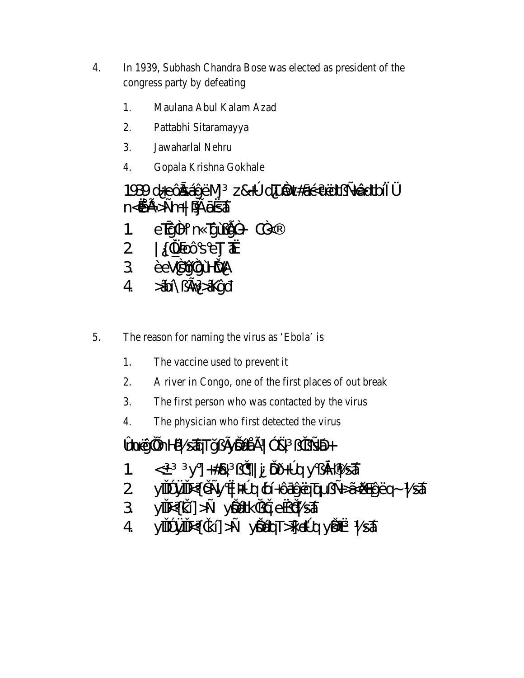- 4. In 1939, Subhash Chandra Bose was elected as president of the congress party by defeating
	- 1. Maulana Abul Kalam Azad
	- $2.$ Pattabhi Sitaramayya
	- 3. Jawaharlal Nehru
	- $\overline{4}$ . Gopala Krishna Gokhale

1939 d+eÔžiÁýËN,1 z&+° dTuôn#ágsuEdt<sub>z</sub>=n@edtbl<sup>-1</sup>/4 n<<br />
AE >
±m+| 3% 8654

eTý<sup>2</sup>H n TýÙ £<sup>2</sup>+ C<sup>2</sup>  $1 \quad$ 

- $2 | {2 \n\times 0}$ SeT  $\frac{1}{4}$
- 3 EeVsyzyUttyA
- 4 *Ä*dly fov Äkýñ
- 5. The reason for naming the virus as 'Ebola' is
	- 1. The vaccine used to prevent it
	- $2.$ A river in Congo, one of the first places of out break
	- $\overline{3}$ . The first person who was contacted by the virus
	- $4.$ The physician who first detected the virus

+ 4 ج ز ز 4% 3 | Fig. 3 Astropolis | 13 Astropolis Antique

- < y] +#& i j i ÜD+°qy; yp h sĂ 1.
- yiTP yiTE{b±y < 3%q (pÍ+ÔáýĖq bi +34XiXeyEq~ | SÁ 2
- 3  $\sqrt{N}$  ki  $\rightarrow \sqrt{N}$  ki ki  $\rightarrow \sqrt{N}$
- yTTP yTTE{ ik [] > + yQQQUT >T it º q yQk | st  $\overline{4}$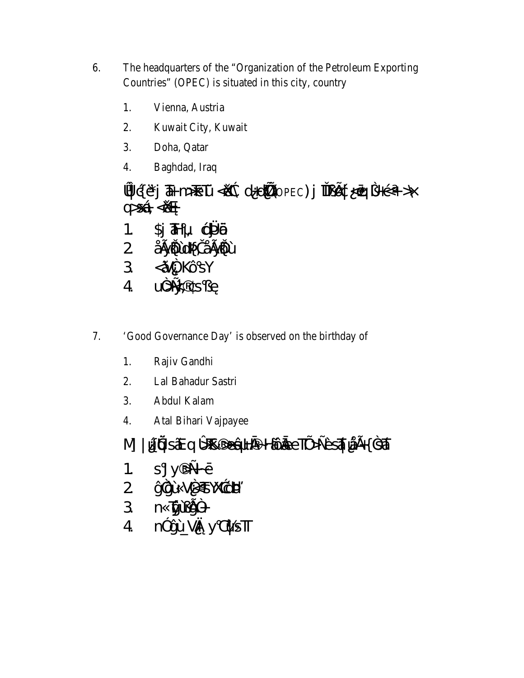- The headquarters of the "Organization of the Petroleum Exporting 6. Countries" (OPEC) is situated in this city, country
	- Vienna, Austria 1.
	- $2.$ Kuwait City, Kuwait
	- 3. Doha, Qatar
	- $\overline{4}$ . Baghdad, Iraq

» ( $E$ )  $\overline{A}$  m  $\overline{B}$  D  $\overline{C}$   $\rightarrow$   $\overline{C}$  d  $\rightarrow$   $\overline{C}$  d  $\rightarrow$   $\overline{C}$   $\rightarrow$   $\rightarrow$   $\overline{C}$  $Q > SA < X$ 

 $1<sup>1</sup>$  $Si$   $H$ ,  $CH$   $B$ 

- 2 ÅGYÖLLÖFÄÄGYÖL
- $3 \leq \tilde{A}^2$ , KÔSY
- $4 \quad U^2 \not x, \quad S \not U$
- 7. 'Good Governance Day' is observed on the birthday of
	- Rajiv Gandhi 1.
	- $2.$ Lal Bahadur Sastri
	- 3. Abdul Kalam
	- $\overline{4}$ . Atal Bihari Vajpayee

M]| WÜGASÄE Q »B >eÂHà~HĨÔĂeeTIU>±ÈSĂI VIEH 35Ă

- $1<sup>1</sup>$  $SJy \rightarrow f0$
- 2 ý3jÙ V2<TSYXagtB/4
- 3 n  $\cancel{\overline{W}}\cancel{\overline{W}}\cancel{2}$ +
- 4 n<sup>3</sup> ýÙ Vä y QUST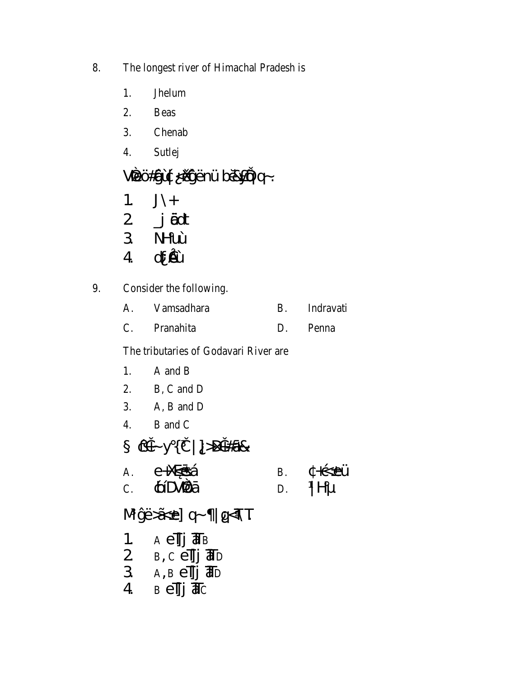- 8. The longest river of Himachal Pradesh is
	- 1. Jhelum
	- $2.$ **Beas**
	- $\overline{3}$ . Chenab
	- Sutlej  $4.$

## Verü#şiù & KüyüEnÜ bö&yiğq~.

- $J\setminus +$  $\overline{1}$ .
- j ädt  $\overline{2}$
- 3 NHuÙ
- dfû  $\overline{4}$
- Consider the following. 9.

| Vamsadhara | Indravati    |
|------------|--------------|
| Pranahita  | <b>Penna</b> |

The tributaries of Godavari River are

- 1. A and B
- B, C and D 2.
- 3. A, B and D
- B and C  $\overline{4}$ .

CH-y{ì | }>DH#á& e+XøósÁ +ç eÜ  $\overline{A}$ .  $B<sub>1</sub>$ **¢ÍDVŶá**  $|H|$  $\overline{C}$ . D.

MýË $\tilde{A}$ e] q~ |q<NT A e¶j **Т**в  $1.$ 

- 
- 2  $B, C \stackrel{\frown}{\text{ell}} j$   $\overline{d}D$ <br>3  $A, B \stackrel{\frown}{\text{ell}} j$   $\overline{d}D$
- $4$   $B$   $e$  $\overline{J}$  $\overline{J}$  $\overline{d}$  $C$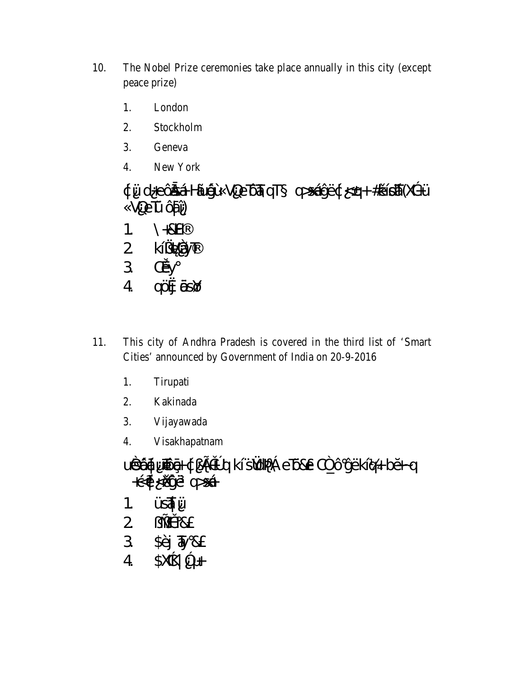- 10. The Nobel Prize ceremonies take place annually in this city (except peace prize)
	- 1. London
	- $2.$ Stockholm
	- 3. Geneva
	- $\overline{4}$ . New York

¢Üd+eÔžsÁHÃUşČÙVQeTÔTÁQT q>sÁyË¢<q+#kilisÁ(XadÜ VŒŪĈáÎ)

- $H8+$  $1<sub>1</sub>$
- 2 kízvaráy
- 3 CEJy
- qüj öslő  $\overline{4}$
- This city of Andhra Pradesh is covered in the third list of 'Smart 11. Cities' announced by Government of India on 20-9-2016
	- 1. Tirupati
	- 2. Kakinada
	- Vijayawada 3.
	- Visakhapatnam 4.

uês@qiunoog çi Ei+ºq kísYoq& eTose C2\_OyEkiq+ba-q  $+$  $\xi \phi \triangleleft \hat{M} \vec{J}E$  q> $S \hat{A}$ 

- **ÜSÁÜ**  $1<sub>1</sub>$
- $2$   $2\neq$  H&
- $3 \quad \overline{\text{SE}}$   $\overline{\text{W}}$  &
- $$X463 +$  $\overline{4}$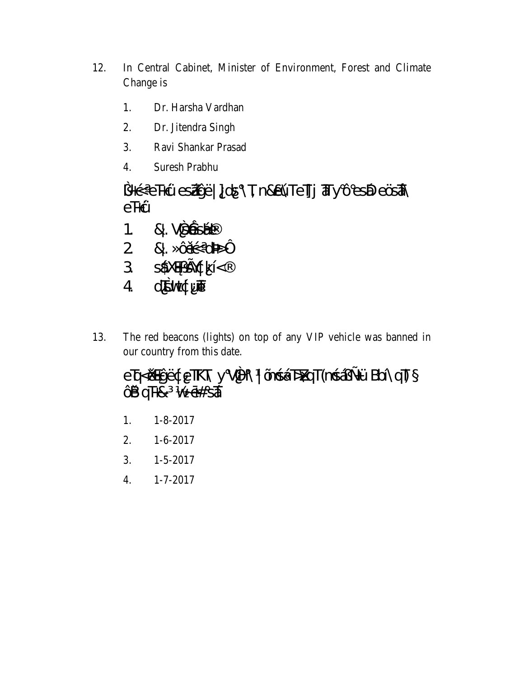- 12. In Central Cabinet, Minister of Environment, Forest and Climate Change is
	- 1. Dr. Harsha Vardhan
	- $2.$ Dr. Jitendra Singh
	- 3. Ravi Shankar Prasad
	- $\overline{4}$ . **Suresh Prabhu**

eTHÙ

- &. VSÁSÆ  $1<sup>1</sup>$
- &. Our of 42  $\overline{2}$
- sáxay sytkí<  $3<sup>7</sup>$
- d'Evt¢ud  $\overline{4}$
- The red beacons (lights) on top of any VIP vehicle was banned in 13. our country from this date.

#### eTq<@@yEdeTKT\yVH\|OngAT>XqT(mgAj+UBbÍ\qT)  $\hat{a}$  and  $\hat{a}$  was  $\hat{a}$

- 1.  $1 - 8 - 2017$
- 2.  $1-6-2017$
- 3.  $1 - 5 - 2017$
- $4.$  $1 - 7 - 2017$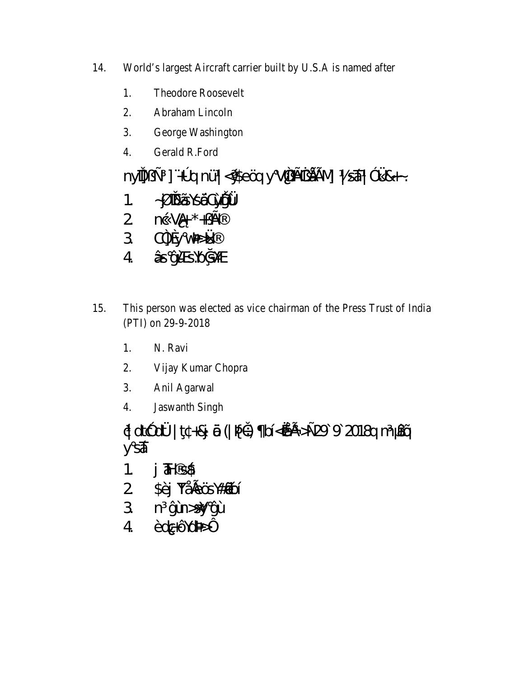- 14. World's largest Aircraft carrier built by U.S.A is named after
	- 1. **Theodore Roosevelt**
	- $2.$ Abraham Lincoln
	- $\overline{3}$ . George Washington
	- Gerald R.Ford 4.

nyîl]  $\pm$  ] + <sup>o</sup> q nÜ | < YSeÖq y V 2 j $\frac{16}{10}$   $\frac{1}{2}$   $\frac{1}{2}$   $\frac{1}{8}$   $\frac{1}{8}$   $\frac{1}{10}$   $\frac{1}{10}$   $\frac{1}{10}$  $1.$   $-1$   $\ddot{R}$   $\ddot{R}$   $\ddot{S}$   $\ddot{S}$   $\ddot{O}$   $\ddot{Q}$   $\ddot{Q}$   $\ddot{Q}$   $\ddot{Q}$ 2  $n\varsigma$ Vä $+ \star + \varsigma$ H 3 C3 y v3/214  $4 \hat{A}$ s yù sybysy

- 15. This person was elected as vice chairman of the Press Trust of India (PTI) on 29-9-2018
	- 1. N. Ravi
	- $2.$ Vijay Kumar Chopra
	- $3.$ Anil Agarwal
	- **Jaswanth Singh**  $4.$

 $d \, dt \, dt$  dt $d \, dt$  t +8j  $d \theta$  ( $\theta \, dx$ ) bi  $\sin \theta \, dt \rightarrow \cos \theta$  9 2018q m  $\theta \, d \theta$ y s**A** 

- $1.$   $\overline{d}$   $\overline{d}$   $\overline{d}$
- 2 SEj YÅ<sub>te</sub>Ös\#ÄgoÍ
- 3 n ýùh>sy ýÙ
- ÈdGÔdB4  $\overline{4}$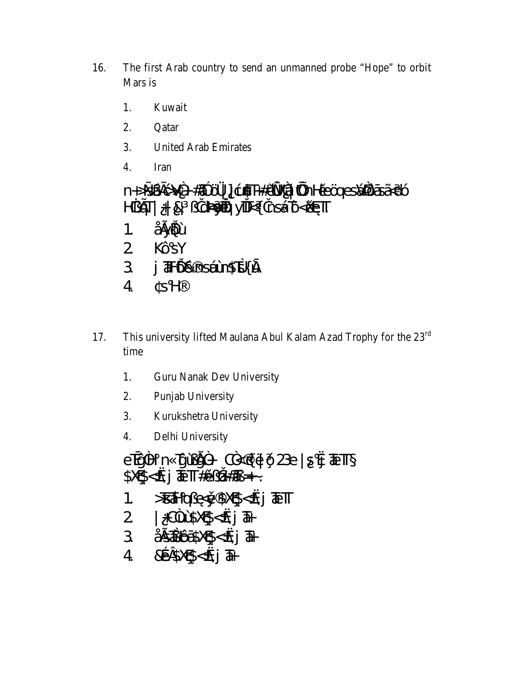- The first Arab country to send an unmanned probe "Hope" to orbit 16. Mars is
	- $1.$ Kuwait
	- $2.$ Oatar
	- 3. **United Arab Emirates**
	- $\overline{4}$ . Iran

n+>sétçV2+#38 Ö/4] çu\$T+#ûxV2Ä junHüeÖgesXXQésÄdÓ 1. ÅSVÕU 2 KÔSY 3 j TH-DE nsélut STS{DJ  $SH$  $\overline{4}$ 

- This university lifted Maulana Abul Kalam Azad Trophy for the 23<sup>rd</sup> 17. time
	- 1. **Guru Nanak Dev University**
	- 2. Punjab University
	- 3. Kurukshetra University
	- $\overline{4}$ . Delhi University

 $S X \mathbb{S} < \infty$   $\overline{A} \cdot \overline{I} + \hat{U} \cdot \overline{B} + \hat{U} \cdot \overline{B}$ >BÁHQUUKÝ SXQS<&j TETT  $1<sub>1</sub>$  $2$   $|+$ CAUSXCS< $\&$ j  $\overline{a}$  $4800510500$   $\frac{1}{4}$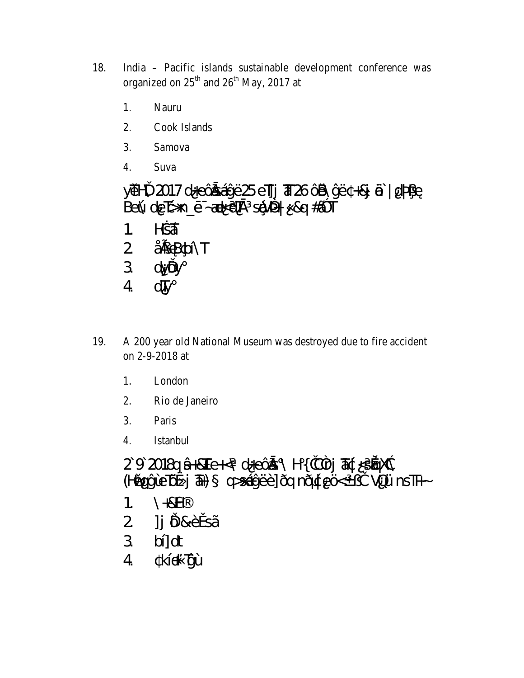- India Pacific islands sustainable development conference was 18. organized on 25<sup>th</sup> and 26<sup>th</sup> May, 2017 at
	- $1<sub>1</sub>$ Nauru
	- $2.$ Cook Islands
	- 3. Samova
	- $\overline{4}$ . Suva

yūH\2017d+eÔánÁyË25e][j Th26ÔB\ýË +&j @ | d<sup>8</sup>AA Belú de ts> n\_o ~48<dBi slý44 &q #A\*T

- Hest  $\overline{1}$ .
- 2 ÅELBOSINT
- 3 dyÖy
- dTy  $\overline{4}$
- A 200 year old National Museum was destroyed due to fire accident 19. on 2-9-2018 at
	- 1. London
	- Rio de Janeiro 2.
	- $\mathcal{E}$ Paris
	- $\overline{4}$ **Istanbul**
	- 292018q  $\hat{A}$ +&Te+<\d+e Cas\H{ì C4rj  $\Phi$ ds < solonada  $(Haqq(\hat{u}E\hat{u}j\hat{a})$  q>sávEE] Eq n  $Dq eQx^i$  i VOU n s Th $\sim$
	- $H8+$  $\mathbf{1}$
	- ] j Ö&ÈúsÃ  $\overline{2}$
	- $b$ []dt  $\overline{3}$
	- kĺi+ TýÙ  $\overline{4}$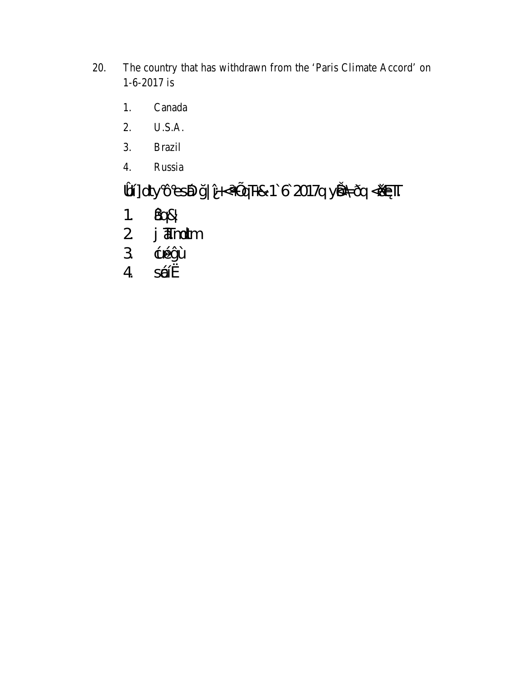- The country that has withdrawn from the 'Paris Climate Accord' on 20. 1-6-2017 is
	- Canada 1.
	- $\overline{2}$ . U.S.A.
	- $3.$ **Brazil**
	- $\overline{4}$ . Russia

# \$of] dty Ôes@ y|Î-<+µqT+& 1`6 2017q yếA Đq <&oTT

- 1.  $\hat{\ell}$ q&
- 2 j **amoltm**
- $\overline{3}$ çuéýÙ
- SÁK  $\overline{4}$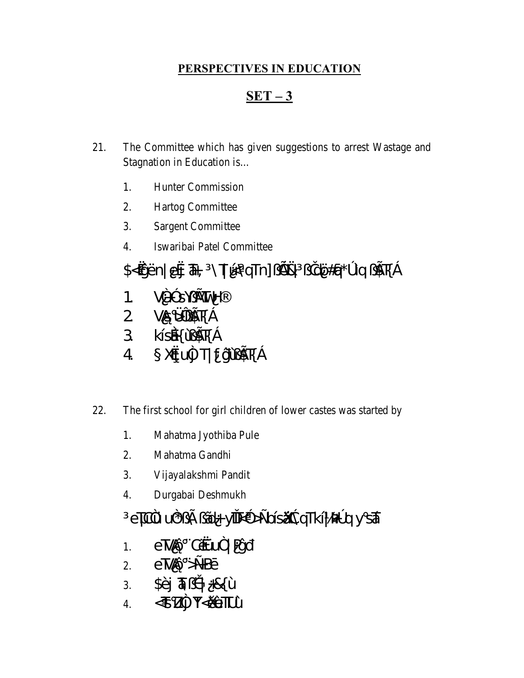#### PERSPECTIVES IN EDUCATION

#### $SET - 3$

- 21. The Committee which has given suggestions to arrest Wastage and Stagnation in Education is...
	- $1.$ **Hunter Commission**
	- 2. **Hartog Committee**
	- $3.$ **Sargent Committee**
	- Iswaribai Patel Committee  $\overline{4}$ .
	- jdÖ#q\*°Ìq (غ £3%) jdÖ#q\*°Ìq (غ \$7%) jdÖ#q\*°Ìq
	- 1.  $V^{2+3}S\sqrt{N}WH$
	- $2$   $\sqrt{33}$   $\frac{1}{2}$   $\frac{1}{2}$   $\frac{1}{2}$
	- 3 KÍSÁK ÙBIK j
	- XQUA T| fjiU\$Ti  $\overline{4}$
- 22. The first school for girl children of lower castes was started by
	- 1. Mahatma Jyothiba Pule
	- 2. Mahatma Gandhi
	- 3. Vijayalakshmi Pandit
	- $4.$ Durgabai Deshmukh

## eTC4U u<sup>2\*</sup> ¿ $\tilde{A}$ d+yiTk<sup>3</sup> > ±bls $\tilde{A}$ aqTkl | 342 g y s $\tilde{A}$

- e MáÔ CRU2 | Pýñ  $1.$
- 2.  $e\overline{\text{N}}\text{d}\hat{\text{O}} \geq \text{H}\text{B}\text{O}$
- 
-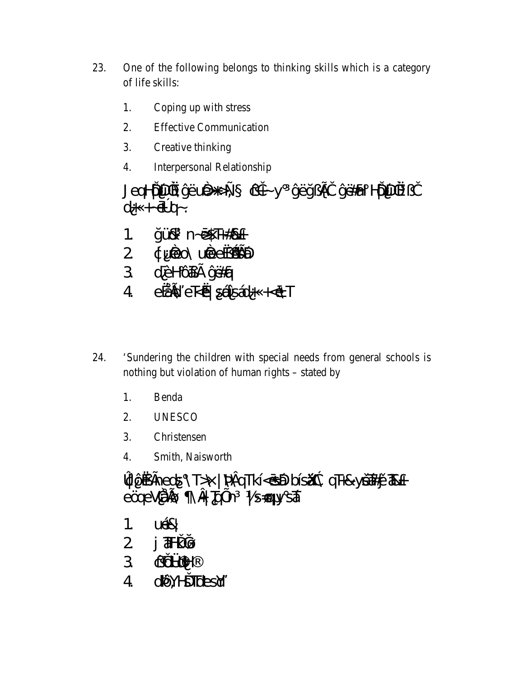- 23. One of the following belongs to thinking skills which is a category of life skills:
	- Coping up with stress 1.
	- $\overline{2}$ . **Effective Communication**
	- Creative thinking 3.
	- $\overline{4}$ . **Interpersonal Relationship**

JeqHDDRAVEUOS+> = cit y vEyzEi vEHal HDDR zi  $d+ +\theta$ <sup>o</sup>q -.

- VÜ& n-6\$T+#&+  $1<sup>1</sup>$
- 2 duited uiteerijsta
- 3 dÈHÔá£ýË#á
- $4$   $e\sqrt{4\theta}$   $e\sqrt{6}$   $s\sqrt{4\theta}$   $s\sqrt{4}$   $+c\sqrt{1}$
- 24. 'Sundering the children with special needs from general schools is nothing but violation of human rights – stated by
	- $1<sub>1</sub>$ Benda
	- 2. **UNESCO**
	- 3. Christensen
	- $\overline{4}$ . Smith, Naisworth

xt Ôia fheots \T>\|\%tiqTkÍ<osióblóis.Xide qT+&y617#yü78&+ eQueVALOS \ C Taun | SEQ y SA

- **LIER**  $1<sub>1</sub>$
- $j$  a  $+k$   $\emptyset$  $\overline{2}$
- 3 cidHalH
- **di Art His Tickesiy**  $\overline{4}$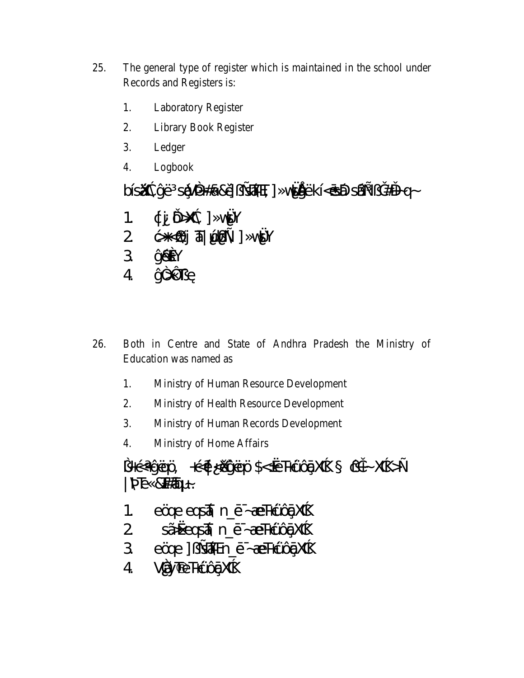- 25. The general type of register which is maintained in the school under Records and Registers is:
	- 1. **Laboratory Register**
	- $2.$ **Library Book Register**
	- 3. Ledger
	- $\overline{4}$ . Logbook

bÍsÄkkyE sÁV34#á&Ú, EÁT] v&ÁNEkÍ<ÓSÁD sÁL; i#H-q-

- ¢jÖXæ] vst¥  $1<sup>1</sup>$
- $2 \quad \Leftrightarrow \Leftrightarrow$   $\Leftrightarrow$   $\Leftrightarrow$   $\Leftrightarrow$   $\Leftrightarrow$   $\Leftrightarrow$   $\Leftrightarrow$   $\Leftrightarrow$   $\Leftrightarrow$   $\Leftrightarrow$   $\Leftrightarrow$   $\Leftrightarrow$   $\Leftrightarrow$   $\Leftrightarrow$   $\Leftrightarrow$   $\Leftrightarrow$   $\Leftrightarrow$   $\Leftrightarrow$   $\Leftrightarrow$   $\Leftrightarrow$   $\Leftrightarrow$   $\Leftrightarrow$   $\Leftrightarrow$   $\Leftrightarrow$   $\Leftrightarrow$   $\Leftrightarrow$   $\Leftright$
- 3 ýÉGY
- $4 \frac{\sqrt{2}}{\sqrt{}}$
- 26. Both in Centre and State of Andhra Pradesh the Ministry of Education was named as
	- 1. Ministry of Human Resource Development
	- 2. Ministry of Health Resource Development
	- 3. Ministry of Human Records Development
	- $\overline{4}$ . Ministry of Home Affairs

1+G+YEOO +GQ<XWEOO\$<eT+COQXXE cit-XXE>±  $|\Re\Phi$  &  $\#\Phi$  ~.

- eÖde eqsÅ n\_é Æ H¢JÓQXaé 1.
- 2 sÃ-xeas 4 n é ÆTHLUGEX de
- 3 eÖde ] ¿ sam n\_é ~ Æ HçUQ \$X dé
- 4 VÃYTeTHÙOQXXX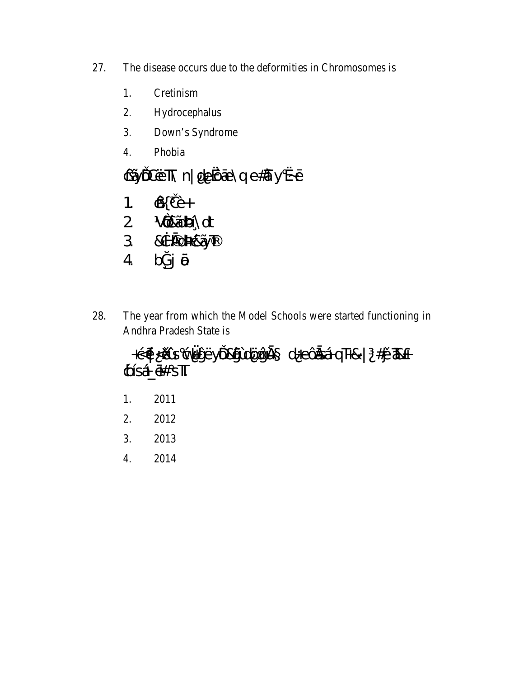- 27. The disease occurs due to the deformities in Chromosomes is
	- 1. Cretinism
	- $2.$ Hydrocephalus
	- $\overline{3}$ . Down's Syndrome
	- $4.$ Phobia

#### çÃÖDETR n| de Ôte\q e#d y «-ó

- 1.  $\hat{\mathbb{Q}}$ i È+
- 2 VÕ&ÄDÁNdt
- 3 & BOBASAJT
- bpj ®  $\overline{4}$
- 28. The year from which the Model Schools were started functioning in Andhra Pradesh State is

+god <br />Blue god y Eyro By Ld Cogn a d +e Cas A q T + 8 | #j 2 3 Bx + **¢ÍSÁ é# ST** 

- 1. 2011
- $2.$ 2012
- 3. 2013
- 4. 2014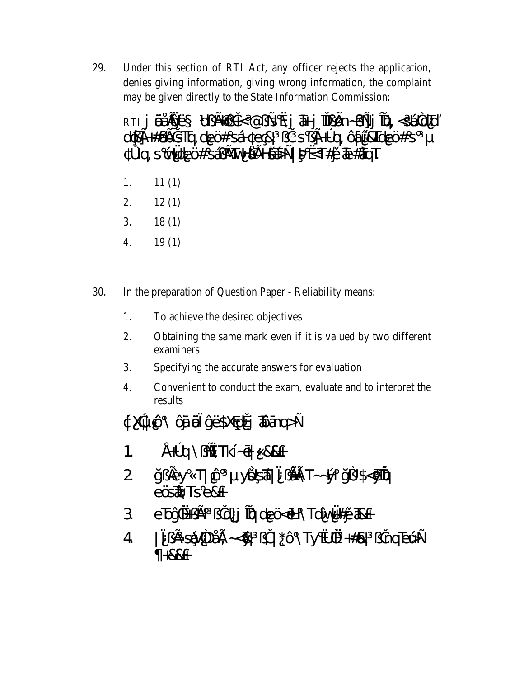29. Under this section of RTI Act, any officer rejects the application, denies giving information, giving wrong information, the complaint may be given directly to the State Information Commission:

RTI jÖ ABYE QUEIQH<@US&j THe jTUEDh-QHzj TQ, < SUPOT dQE+#abosta de C# sá e q v s E+ q Quiende C# s <sup>o</sup>ld, sovelect s4; EXTV-AEI-BAS-1 34<T#D TE#3TOT

- 1.  $11(1)$
- $2.$  $12(1)$
- 3.  $18(1)$
- $\overline{4}$ .  $19(1)$
- 30. In the preparation of Question Paper - Reliability means:
	- To achieve the desired objectives 1.
	- 2. Obtaining the same mark even if it is valued by two different examiners
	- 3. Specifying the accurate answers for evaluation
	- $4.$ Convenient to conduct the exam, evaluate and to interpret the results

### $\downarrow$  Xate  $\circledcirc\setminus\circledcirc$  of  $\circledcirc\circ$  is stand  $\downarrow$

- $44^{\circ}$  g  $\vee$   $\star$  Tk  $\sim$   $68+$  $\mathbf 1$
- ÿ<sub>¿</sub>jĚy T|çÔ yôkŞáÁ|<sup>-</sup>¿jåAST~~14 ÿ¿\$<põñ@<br>eÖsa®Tse&+  $\overline{2}$
- 3 eTOY still jid]j TQ de O coh \TdlvW#ju T&+
- 4 jing EsQ(4DAE ~< & j) | \* Ô \Ty dk +# & jing EU +  $+88+$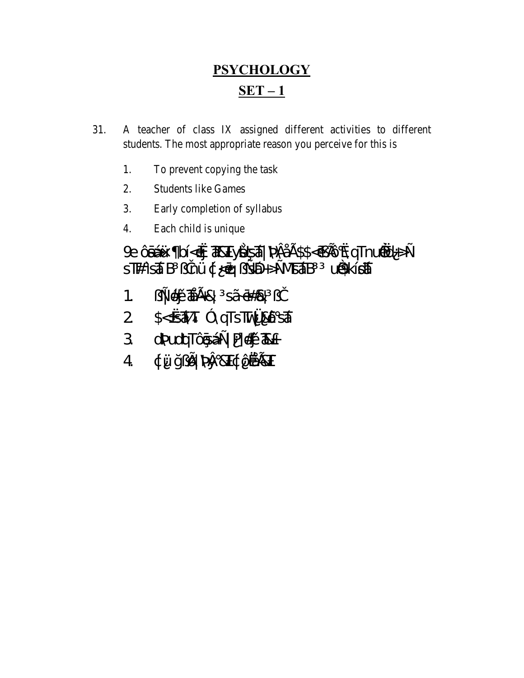## **PSYCHOLOGY**  $SET - 1$

- 31. A teacher of class IX assigned different activities to different students. The most appropriate reason you perceive for this is
	- 1. To prevent copying the task
	- $\overline{2}$ . **Students like Games**
	- 3. Early completion of syllabus
	- Each child is unique 4.

& CONJ bÍ<ci TERTyBGÁ KALSS<ci EXQTnued+> Araika Tikin úzskés jab püní a Azí Wisa

- از په #\$#10 AGB (ك  $1<sub>1</sub>$
- 
- 3 OSYGIOLOTÓGSÁ± Fj#jüZR+
- 4 ¢Ü ÿ¿Ø % % &T¢ÔÅ &T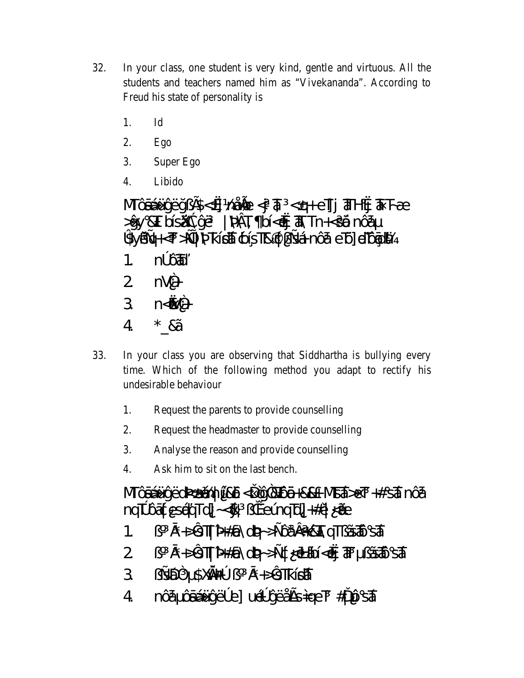- 32. In your class, one student is very kind, gentle and virtuous. All the students and teachers named him as "Vivekananda". According to Freud his state of personality is
	- $1.$  $Id$
	- $2.$ Ego
	- $3.$ Super Ego
	- $\overline{4}$ . Libido

 $M\hat{O}$ áÁUýËy; $BS < d$  mÅ $\Theta$  $d$   $\bar{a}$   $<$ q+e $\overline{1}$ j  $\overline{a}$ H $\dot{a}$   $\bar{a}$  F $\angle$ E  $\Rightarrow$ yy &T bÍsÄkeyE |  $\frac{1}{2}$  |  $\frac{1}{2}$  |  $\frac{1}{2}$  |  $\frac{1}{2}$  |  $\frac{1}{2}$  |  $\frac{1}{2}$  |  $\frac{1}{2}$  |  $\frac{1}{2}$  |  $\frac{1}{2}$  |  $\frac{1}{2}$  |  $\frac{1}{2}$  |  $\frac{1}{2}$  |  $\frac{1}{2}$  |  $\frac{1}{2}$  |  $\frac{1}{2}$  |  $\frac{1}{2}$  |  $\frac{1}{2}$ **SSYLLEH-T >+I VIKISA COSTR C & SÁ nÔá eTO ETOGICA**  $n^{\circ}$  $($ <del>M</del>  $1<sup>1</sup>$ 

- 2  $nV^2$ +
- $3 n < 12 +$
- 4  $*$  & $\tilde{A}$
- 33. In your class you are observing that Siddhartha is bullying every time. Which of the following method you adapt to rectify his undesirable behaviour
	- Request the parents to provide counselling 1.
	- $\overline{2}$ . Request the headmaster to provide counselling
	- 3. Analyse the reason and provide counselling
	- $\overline{4}$ . Ask him to sit on the last bench.

MOSÁLLYECRZSTÁM ŰBÖG QRTÓÖH8&+M5ÁDET +#SÁNÓ nqPÔátesÁgTd]~&viueÚnqTd]#0|<AE

- j  $\vec{a}$  +>STI  $\frac{3}{4}$  + +  $\frac{3}{4}$  + +  $\frac{3}{4}$  +  $\frac{3}{4}$  +  $\frac{3}{4}$  +  $\frac{3}{4}$  +  $\frac{3}{4}$  +  $\frac{3}{4}$  +  $\frac{3}{4}$  +  $\frac{3}{4}$  +  $\frac{3}{4}$  +  $\frac{3}{4}$  +  $\frac{3}{4}$  +  $\frac{3}{4}$  +  $\frac{3}{4}$  +  $\frac{3}{4}$  +  $\frac{3}{4}$  1.
- $\overline{2}$
- $3$   $2450$   $8000$   $4500$   $3 + 571$
- nÔá ÔáÁÜý˰e] uɰýËÅEsideT #1 ŴSTÁ  $\overline{4}$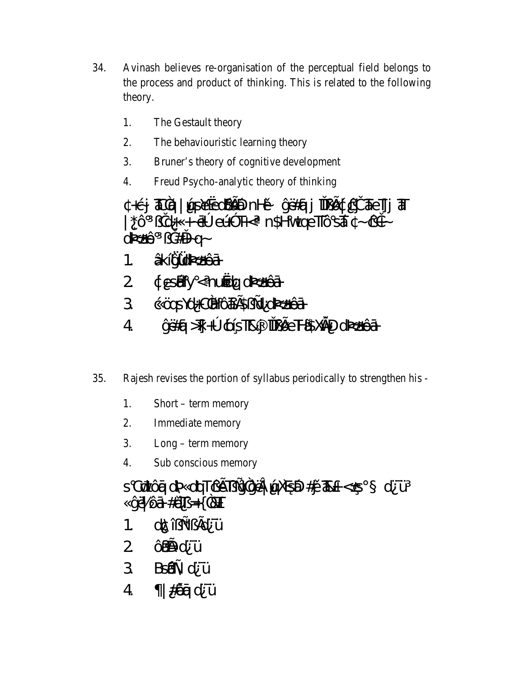- 34. Avinash believes re-organisation of the perceptual field belongs to the process and product of thinking. This is related to the following theory.
	- 1. The Gestault theory
	- $2.$ The behaviouristic learning theory
	- $3.$ Bruner's theory of cognitive development
	- $\overline{4}$ . Freud Psycho-analytic theory of thinking

+çj 3025q | UpsekedQSED nHa yE#aj îlje@tçj 31eTjj 31T  $|\triangle^{0}$   $\rightarrow$   $\hat{A}$   $\sim$   $\hat{A}$   $\rightarrow$   $\hat{A}$   $\rightarrow$   $\hat{B}$   $\rightarrow$   $\hat{B}$   $\rightarrow$   $\hat{B}$   $\rightarrow$   $\hat{B}$   $\rightarrow$   $\hat{B}$   $\rightarrow$   $\hat{B}$   $\rightarrow$   $\hat{B}$   $\rightarrow$   $\hat{B}$   $\rightarrow$   $\hat{B}$   $\rightarrow$   $\hat{B}$   $\rightarrow$   $\hat{B}$   $\rightarrow$   $\hat{B}$   $\rightarrow$   $\hat{B}$   $\rightarrow$  d3440 i) #i+-q-

- ÂKÍVÁNYAÉÁ  $\mathcal{L}$
- 2 ¢esiály < nuódq d3/4fĈá
- 3 CÖQSYOHC<sup>2</sup>BICQES<sub>2</sub> El ol3244E20
- ýË#é(>][+° ¢OÍSTI&j îTŲ̃£éFFŐSX&ND d3%44ÊČeH  $\overline{4}$
- 35. Rajesh revises the portion of syllabus periodically to strengthen his -
	- 1. Short – term memory
	- $2.$ Immediate memory
	- $\overline{3}$ .  $Long - term memory$
	- Sub conscious memory  $\mathbf{4}$ .

S Cũ tống chýa chọt chế là và thị được đềm thành x cho s d Ü  $\sqrt{2}$   $\frac{1}{2}$   $\frac{1}{2}$   $\frac{1}{2}$   $\frac{1}{2}$   $\frac{1}{2}$   $\frac{1}{2}$   $\frac{1}{2}$   $\frac{1}{2}$   $\frac{1}{2}$   $\frac{1}{2}$   $\frac{1}{2}$   $\frac{1}{2}$   $\frac{1}{2}$   $\frac{1}{2}$   $\frac{1}{2}$   $\frac{1}{2}$   $\frac{1}{2}$   $\frac{1}{2}$   $\frac{1}{2}$   $\frac{1}{2}$   $\frac{1}{2}$   $\frac$ 

- $dQ\hat{i}_j \pm jQ\hat{d}$  $\mathbf{1}$ .
- 2 Qapd Ü
- 3 Bset d Ü
- |#ÔmédÜ  $\overline{4}$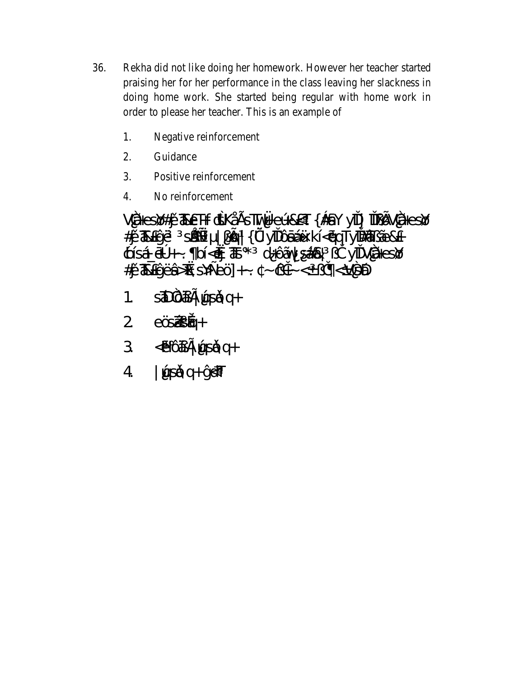- 36. Rekha did not like doing her homework. However her teacher started praising her for her performance in the class leaving her slackness in doing home work. She started being regular with home work in order to please her teacher. This is an example of
	- Negative reinforcement 1.
	- 2. Guidance
	- 3. Positive reinforcement
	- $\overline{4}$ . No reinforcement

VÄesØ#jû TBeT+FriskÅEsTTv¥keLJ&<T{#8Y yiTj iTU;ØVÄesØ #jûZRHýE sás |¿@|{I/4yîTÔáÁÜkÍ<ópTyĨ#ZìĂé&+<br>¢ÍsÁ\_é<sup>o</sup>+, bÍ<oj\_ZE \* d+ÔÃVsÁz& ¿ì yîTVÃesØ 

- stoco fi disdig- $\mathbf{1}$ .
- eÖSÁSÁGH+  $\overline{2}$
- -BLÓ E LASÓ et- $3<sup>7</sup>$
- 4 | LásÁnq+ ýrãT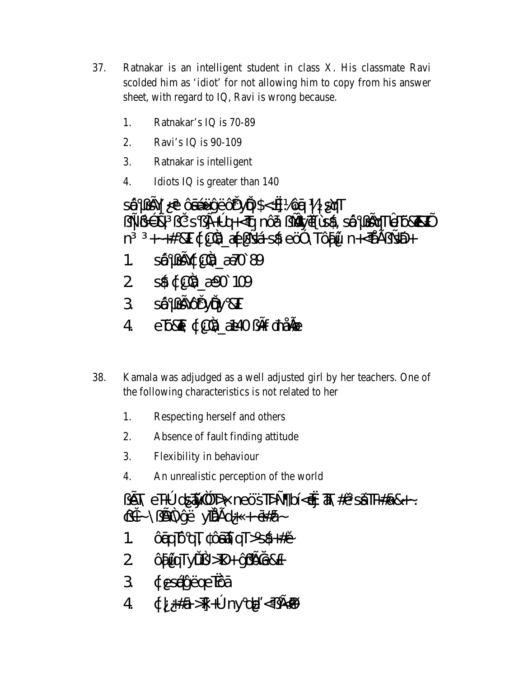- 37. Ratnakar is an intelligent student in class X. His classmate Ravi scolded him as 'idiot' for not allowing him to copy from his answer sheet, with regard to IQ, Ravi is wrong because.
	- 1. Ratnakar's IQ is 70-89
	- $2.$ Ravi's IQ is 90-109
	- $3.$ Ratnakar is intelligent
	- $\overline{4}$ Idiots IQ is greater than 140

 $\hat{S}$   $\hat{B}$   $\hat{B}$   $\hat{C}$   $\hat{C}$   $\hat{B}$   $\hat{A}$   $\hat{U}$   $\hat{C}$   $\hat{C}$   $\hat{C}$   $\hat{C}$   $\hat{C}$   $\hat{C}$   $\hat{C}$   $\hat{C}$   $\hat{C}$   $\hat{C}$   $\hat{C}$   $\hat{C}$   $\hat{C}$   $\hat{C}$   $\hat{C}$   $\hat{C}$   $\hat{C}$   $\hat{C}$   $\hat{C}$   $\hat{C$  $\lim_{\epsilon \to 0} \mathbb{E} \mathbb{E} \mathbb{E} \mathbb{E} \mathbb{E} \mathbb{E} \mathbb{E} \mathbb{E} \mathbb{E} \mathbb{E} \mathbb{E} \mathbb{E} \mathbb{E} \mathbb{E} \mathbb{E} \mathbb{E} \mathbb{E} \mathbb{E} \mathbb{E} \mathbb{E} \mathbb{E} \mathbb{E} \mathbb{E} \mathbb{E} \mathbb{E} \mathbb{E} \mathbb{E} \mathbb{E} \mathbb{E} \mathbb{E} \mathbb{E} \mathbb{E} \mathbb{E} \mathbb{E} \mathbb{E}$ n. SŴ<sub>¿</sub>Ŝ\¢C& AFO 89  $1<sup>1</sup>$ 2 s\$ ¢ C<sub>3</sub> ABO 109 3 SỐ ¿SỐ rÕN & T eTXT ¢C&\_Æ40 Ef mÅG  $\overline{4}$ 

- 38. Kamala was adjudged as a well adjusted girl by her teachers. One of the following characteristics is not related to her
	- 1. Respecting herself and others
	- 2. Absence of fault finding attitude
	- 3. Flexibility in behaviour
	- $\overline{4}$ . An unrealistic perception of the world

 $\mu\in\mathbb{R}$  eT+° ds $\tilde{\mathcal{M}}$ <sup>23</sup> D\ neÖsTD± bĺ<o $\sharp$   $\tilde{\mathcal{M}}$ #û sÁlT+#á&+~. cìt~\; D<sup>2</sup>\ýË yīĂ£d+ + - <del>ó</del>#á~

- **<u>OgqTOqT</u>** OgTAqT>s46+#G  $1<sub>1</sub>$
- 2 **CHILATYLY** >D+ YFBlee&+
- 3 desérvEgeTCá
- $4 \t d$  +  $\#$   $\#$   $\frac{1}{2}$  +  $\degree$  ny  $\frac{d}{dx}$  <  $\frac{1}{2}$  +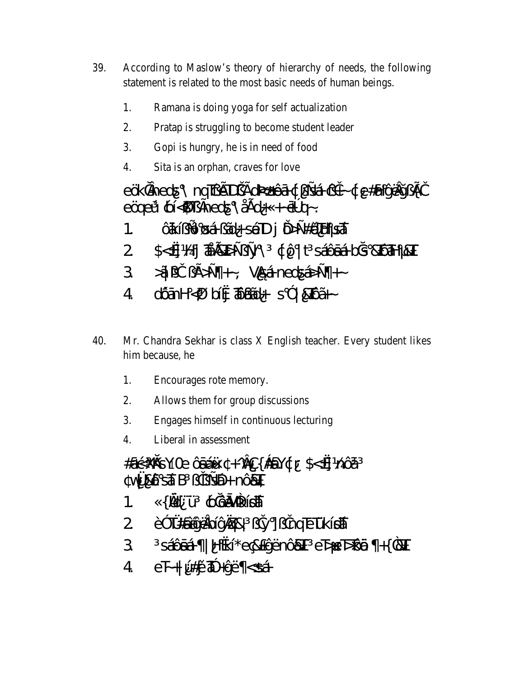- 39. According to Maslow's theory of hierarchy of needs, the following statement is related to the most basic needs of human beings.
	- 1. Ramana is doing yoga for self actualization
	- $\overline{2}$ . Pratap is struggling to become student leader
	- Gopi is hungry, he is in need of food 3.
	- $\overline{4}$ . Sita is an orphan, craves for love

eÖkkntheds\nqTzeDjEd%4fCatd;s4Acit-de#alyEdjEi  $e$ OgeU (p $\leq$ \$T; fneds \ÅEd+  $+$  $\oplus$  q  $\sim$ 

- Ôkí; ÔØÁ; Ãd+ sÁD j Ö>±#ãH sÁ  $\mathbf{1}$
- \$<< Hj ZARED=U= AV CO | t SÁÔ LÁ BOS & LOTH & T 2
- $\frac{1}{2}$   $\frac{1}{2}$   $\frac{1}{2}$   $\frac{1}{2}$   $\frac{1}{2}$   $\frac{1}{2}$   $\frac{1}{2}$   $\frac{1}{2}$   $\frac{1}{2}$   $\frac{1}{2}$   $\frac{1}{2}$   $\frac{1}{2}$   $\frac{1}{2}$   $\frac{1}{2}$   $\frac{1}{2}$   $\frac{1}{2}$   $\frac{1}{2}$   $\frac{1}{2}$   $\frac{1}{2}$   $\frac{1}{2}$   $\frac{1}{2}$   $\frac{1}{2}$   $3 -$
- 4 dÕm $H<_{b}$  big  $\widehat{\Phi}$ m $\widehat{\Phi}$ + s<sup>3</sup> &  $\widehat{D}$
- 40. Mr. Chandra Sekhar is class X English teacher. Every student likes him because, he
	- 1. Encourages rote memory.
	- $2.$ Allows them for group discussions
	- $\overline{3}$ . Engages himself in continuous lecturing
	- $\overline{4}$ . Liberal in assessment

 $\#a$ çXXXSYIO COSAÜ  $+$ ^0QS{#8Y¢r\$<s]nÖá **W&ÔSÁB** *ji s*ÁH nÔ&T

- {1/2 U ¢) @ à/24/is4  $1 \quad \Box$
- E3 TAKSIYEDIY 28 (y ] y ] inq ET KISA  $\overline{2}$
- SÁÔGÁ | HokÍ\*eQ&+ýËnÔ&T eЂeЂÔÓD +{?&T  $3<sup>7</sup>$
- $4eF+[\text{U}\#]\hat{u}\$  + $\sqrt{E}$  <  $\sin A$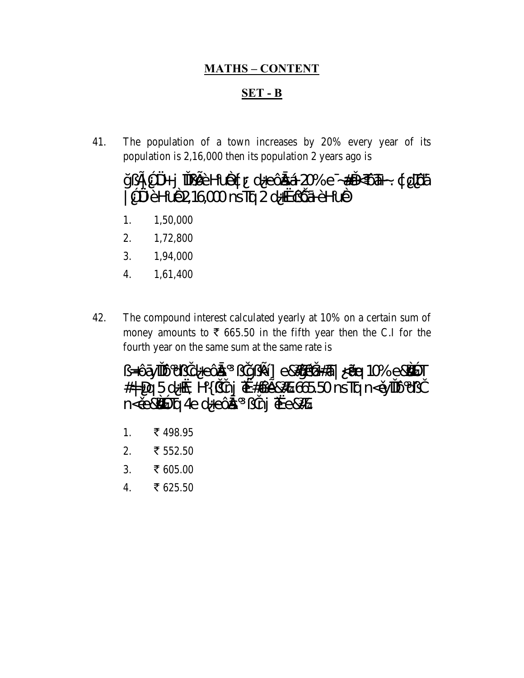#### **MATHS-CONTENT**

#### $SET - B$

41. The population of a town increases by 20% every year of its population is  $2,16,000$  then its population 2 years ago is

#### ÿ¿£1<sup>3</sup> Ø # j îllī,Ø Ō Hurð ¢ r d+e Ôða Ál 20% e ~Æ #i-<TÔ Fi-~. ¢ dTÛá 1<sup>3</sup> DAÈHUB216000 nsTra 2 d+orc DA ÈHUB

- 1,50,000 1.
- 2. 1,72,800
- 3. 1,94,000
- $4.$ 1,61,400
- 42. The compound interest calculated yearly at 10% on a certain sum of money amounts to  $\bar{\xi}$  665.50 in the fifth year then the C.I for the fourth year on the same sum at the same rate is

id+eÔás jÿ¿ké]e&lý)é@#7ā|<kléq10%e&\$<sup>3</sup>Tحغ jý¿ké]e&l F & B d + @ H { } inj  $\bar{\mathbf{u}}$  # a e & B B ns T q n < un T 0 i } n<ûe&\$3 Tq 4e d+eÔas ¿inj Tke&

- 1. ₹498.95
- $2.$ ₹ 552.50
- $\overline{3}$ . ₹ 605.00
- ₹ 625.50  $\overline{4}$ .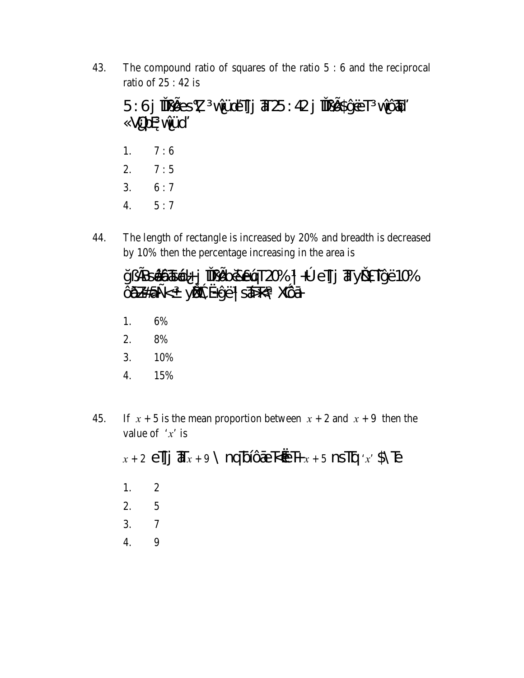43. The compound ratio of squares of the ratio  $5:6$  and the reciprocal ratio of  $25:42$  is

5:6 jii pões X viuje ilj  $\overline{a}$  25:42 jii põhytet viõh VODO VILU

- 1.  $7:6$  $2.$  $7:5$  $3.$  $6:7$
- $5:7$  $\overline{4}$ .
- 44. The length of rectangle is increased by 20% and breadth is decreased by 10% then the percentage increasing in the area is

ÿ¿fBsááðasád+j TUEDo ZeláT20% | + eTj Try BA Tý E10% **CELHá**±< yĹÓGX+ýE | SÁF<\ XGÓH

- 1. 6%
- 2. 8%
- $3.$ 10%
- 4. 15%
- If  $x + 5$  is the mean proportion between  $x + 2$  and  $x + 9$  then the 45. value of  $x'$  is

 $x + 2$  elles  $\overline{d}$  ax + 9 \nq bl $\widehat{Q}$ te kontract + 5 ns lig 'x' \$\ Te 1.  $\overline{2}$  $2.$ 5  $\mathcal{R}_{\mathcal{L}}$  $\overline{7}$  $\overline{4}$ . 9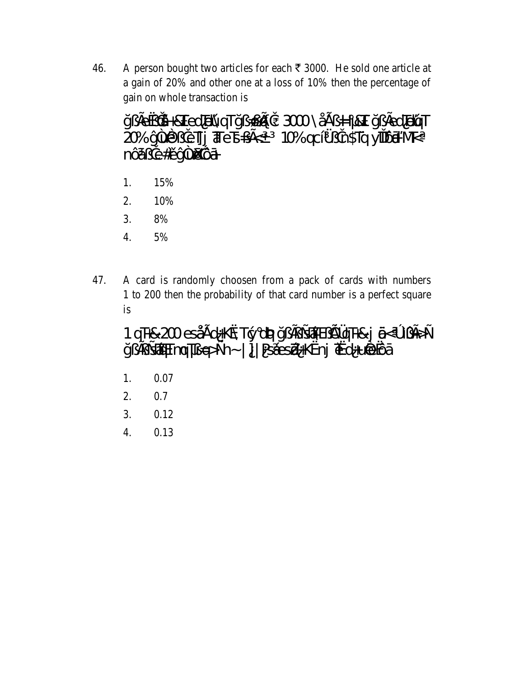A person bought two articles for each  $\bar{\tau}$  3000. He sold one article at 46. a gain of 20% and other one at a loss of 10% then the percentage of gain on whole transaction is

ÿ¿fe«jiÂ+&TedTeŬqTÿ¿ @@i₹ 3000\ÅE¿ + KT y¿fedTetqT **20% y lellj ale b** z E 10% q cl / a in\$Tq yill D in M K nÔázie#Liv4

- 1. 15%
- $2.$ 10%
- $3.$ 8%
- $\overline{4}$ . 5%
- 47. A card is randomly choosen from a pack of cards with numbers 1 to 200 then the probability of that card number is a perfect square is

1qTH&200esÅEd+K&Tgdqq4y;Esh ElqTH&jQkoljE>± ÿ¿ĘstAnTmqT¿E>±n~|]|PsÁesZHK«nj Trd+uéeCá

- 1. 0.07
- $\overline{2}$ . 0.7
- $3.$ 0.12
- 4. 0.13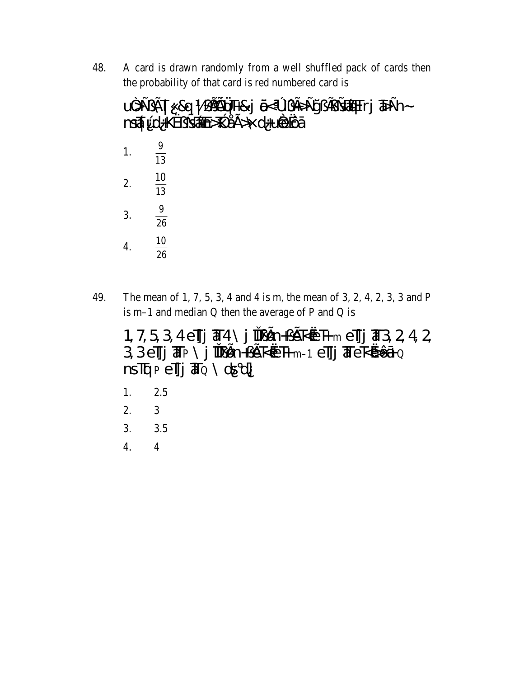48. A card is drawn randomly from a well shuffled pack of cards then the probability of that card is red numbered card is

|    | U <sup>2</sup> >±¿}ET  &q  ¿££&qTH&j @ik^l}{}£}=s7\$qTrj ?5}±n~<br>nsq\${\UHK«¿±s4\$n>PAE>\d+u@exQá |
|----|-----------------------------------------------------------------------------------------------------|
|    | $\frac{9}{13}$                                                                                      |
| 2. | $\frac{10}{13}$                                                                                     |
| 3. | $\frac{9}{26}$                                                                                      |
|    | 10<br>$\overline{26}$                                                                               |

The mean of 1, 7, 5, 3, 4 and 4 is m, the mean of 3, 2, 4, 2, 3, 3 and P 49. is m-1 and median Q then the average of P and Q is

33elj The \j lligh+jek@Hm-1 elj TekóûéQ  $nsTqp$ e $rrq$ j  $\overline{a}q \setminus dsq$ 

- $2.5$ 1.
- $\overline{3}$  $2.$
- 3.  $3.5$
- $\overline{4}$  $4.$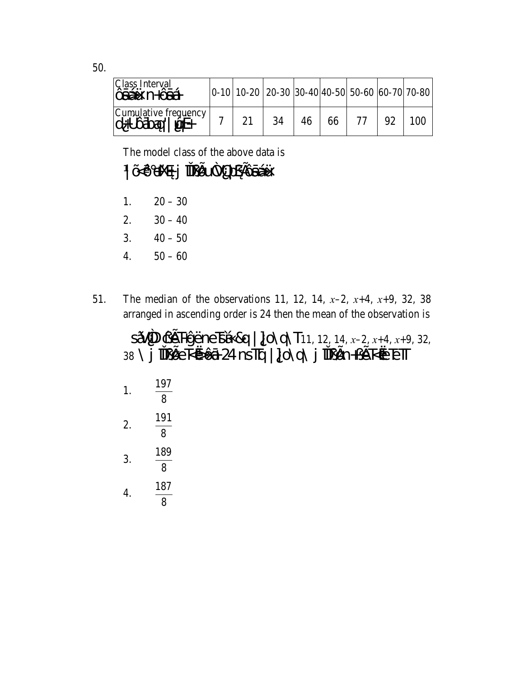| Class Interval<br><b>CÉAU</b> N+ <b>CÉA</b>                                                                                    | $\vert 0.10 \vert 10.20 \vert 20.30 \vert 30.40 \vert 40.50 \vert 50.60 \vert 60.70 \vert 70.80$ |    |    |  |  |
|--------------------------------------------------------------------------------------------------------------------------------|--------------------------------------------------------------------------------------------------|----|----|--|--|
| $\begin{array}{c} \text{Cumulative frequency} \\ \text{d} + ^{\circ} \text{O} \text{d} \text{C} \text{d} \text{d} \end{array}$ |                                                                                                  | 34 | 66 |  |  |

The model class of the above data is

#### | ÃÔHX@ j TIERIA/OPERBÁU

- $20 30$ 1.
- $30 40$ 2.
- $40 50$ 3.
- $50 60$  $\overline{4}$ .
- The median of the observations 11, 12, 14,  $x-2$ ,  $x+4$ ,  $x+9$ , 32, 38 51. arranged in ascending order is 24 then the mean of the observation is

 $S\tilde{A}$ <sup>7</sup>D  $C\tilde{E}$  HýËne  $S\tilde{A}$  &q | ] O \q \ T11, 12, 14, x-2, x+4, x+9, 32, 38 \j IILLEROOt 24 nsTq | ]O\q\j IILLEREREETT

1. 
$$
\frac{197}{8}
$$
  
2.  $\frac{191}{8}$   
3.  $\frac{189}{8}$   
4.  $\frac{187}{8}$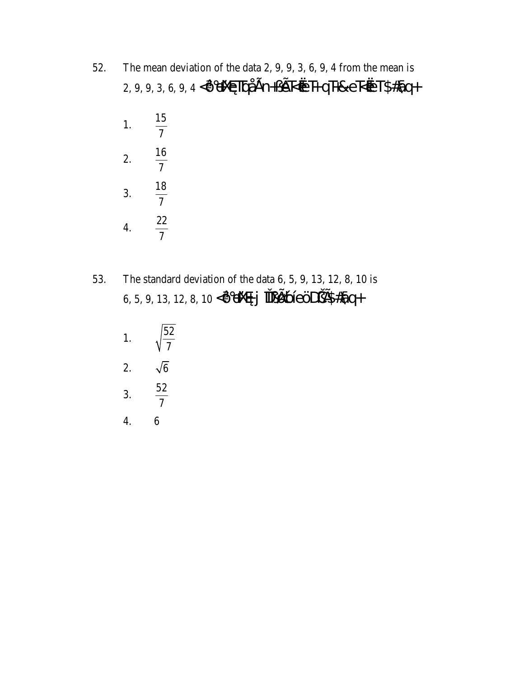- The mean deviation of the data  $2, 9, 9, 3, 6, 9, 4$  from the mean is 52. 2, 9, 9, 3, 6, 9, 4 < ÔHXØTDÅEN+¿EK@T+QT+&eK@T\$#8q+
	- 1.  $\frac{15}{7}$ 2.  $\frac{16}{7}$ 3.  $\frac{18}{7}$ 4.  $\frac{22}{7}$
- 53. The standard deviation of the data  $6, 5, 9, 13, 12, 8, 10$  is 6, 5, 9, 13, 12, 8, 10 < OHX® j TUL CODE B#8q+
	- 1.  $\sqrt{\frac{52}{7}}$ 2.  $\sqrt{6}$  $\frac{52}{7}$  $3.$  $\overline{4}$ . 6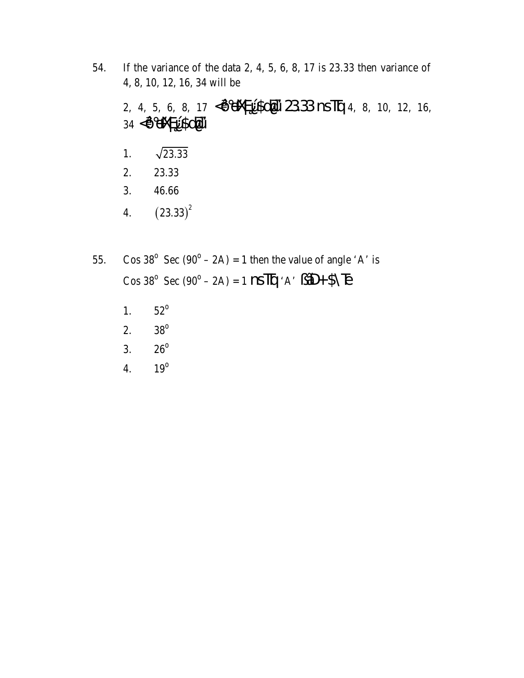- If the variance of the data 2, 4, 5, 6, 8, 17 is  $23.33$  then variance of 54. 4, 8, 10, 12, 16, 34 will be 2, 4, 5, 6, 8, 17 < OHYPURGHU 2333 nsTg 4, 8, 10, 12, 16, 34 < OHXpL\$diU  $\sqrt{23.33}$  $1.$ 23.33 2.  $3.$ 46.66  $(23.33)^2$  $\overline{4}$ .
- Cos 38<sup>°</sup> Sec (90<sup>°</sup> 2A) = 1 then the value of angle 'A' is 55. Cos 38<sup>°</sup> Sec (90<sup>°</sup> – 2A) = 1  $\text{NS}\overline{\text{IP}}$  'A'  $\angle \widetilde{\text{AD}}$  +  $\Diamond \overline{\text{LP}}$ 
	- $52^{\rm o}$ 1.
	- $38^{\rm o}$ 2.
	- 3.  $26^{\circ}$
	- $19^\circ$  $\overline{4}$ .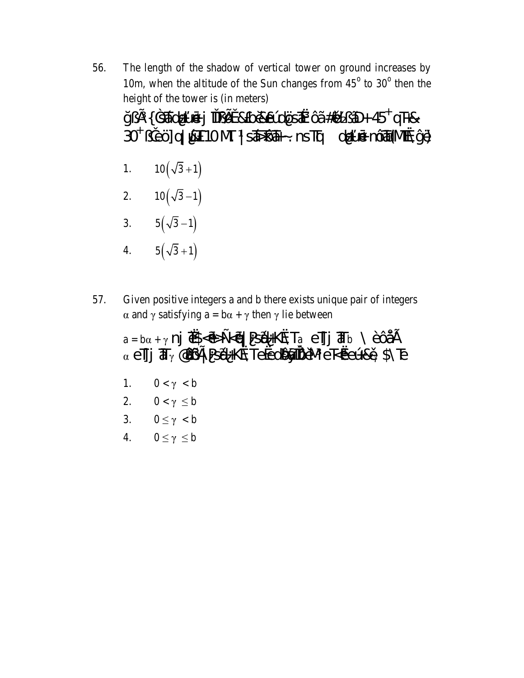The length of the shadow of vertical tower on ground increases by 56. 10m, when the altitude of the Sun changes from  $45^{\circ}$  to  $30^{\circ}$  then the height of the tower is (in meters)

| ÿ¿£{354kdi+unéj îT¿Øú&bo&eÚdÖs4k ÔĂ#ûd¿ÃD+45+qT+&                       |  |
|-------------------------------------------------------------------------|--|
| 30 <sup>†</sup> ¿jeÖjq  ÚsT10MT   sÁs Ōðal~. nsTq di+uné nÓða (Móða ýt) |  |

$$
1. \qquad 10\left(\sqrt{3}+1\right)
$$

$$
2. \qquad 10\left(\sqrt{3}-1\right)
$$

- 3.  $5(\sqrt{3}-1)$
- 4.  $5(\sqrt{3}+1)$
- Given positive integers a and b there exists unique pair of integers 57.  $\alpha$  and  $\gamma$  satisfying  $a = b\alpha + \gamma$  then  $\gamma$  lie between

 $a = b\alpha + \gamma$  nj  $\overline{M}$  $\leq$   $\frac{d\overline{A}}{dt}$   $\leq$   $\frac{d\overline{A}}{dt}$   $\leq$   $\frac{d\overline{A}}{dt}$   $\leq$   $\frac{d\overline{A}}{dt}$   $\leq$   $\frac{d\overline{A}}{dt}$   $\leq$   $\frac{d\overline{A}}{dt}$ α e]]  $\overline{a}$   $\gamma$  @  $\widetilde{a}$  = Psél+K& Te<ed@  $\gamma$  = Psél+Ke + S Te  $0 < \gamma < b$ 1. 2.  $0 < \gamma \leq b$ 3.  $0 \leq \gamma < b$  $0 \leq \gamma \leq b$ 4.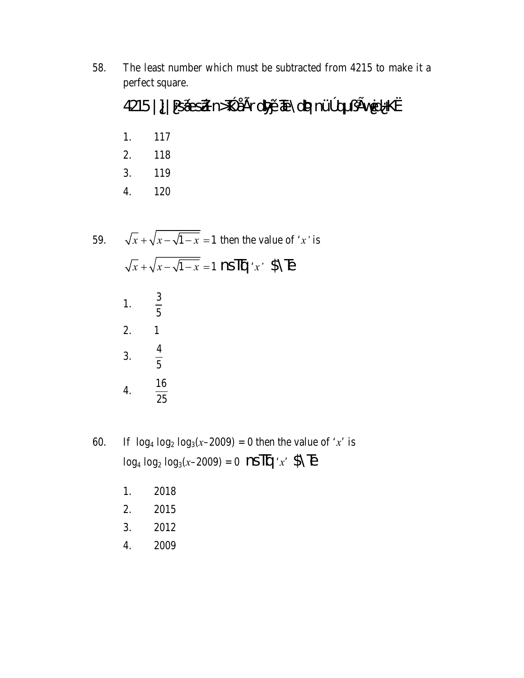58. The least number which must be subtracted from 4215 to make it a perfect square.

### 4215 | ] | PSÁesÁ n>P ÅEr d§yár TENdeyanÜP q ¿£Wed+K«

- 1. 117
- 2. 118
- 3. 119
- 120  $\overline{4}$ .
- $\sqrt{x} + \sqrt{x \sqrt{1 x}} = 1$  then the value of 'x' is 59.  $\sqrt{x} + \sqrt{x - \sqrt{1 - x}} = 1$  nsTq 'x' \$\Te 1.  $\frac{3}{5}$  $\mathbf{1}$ 2. 3.  $\frac{4}{5}$  $\frac{16}{25}$  $4.$
- If  $\log_4 \log_2 \log_3(x-2009) = 0$  then the value of 'x' is 60.  $\log_4 \log_2 \log_3(x-2009) = 0$  nsTq'x' \$\B
	- 2018 1.
	- 2. 2015
	- $3.$ 2012
	- 4. 2009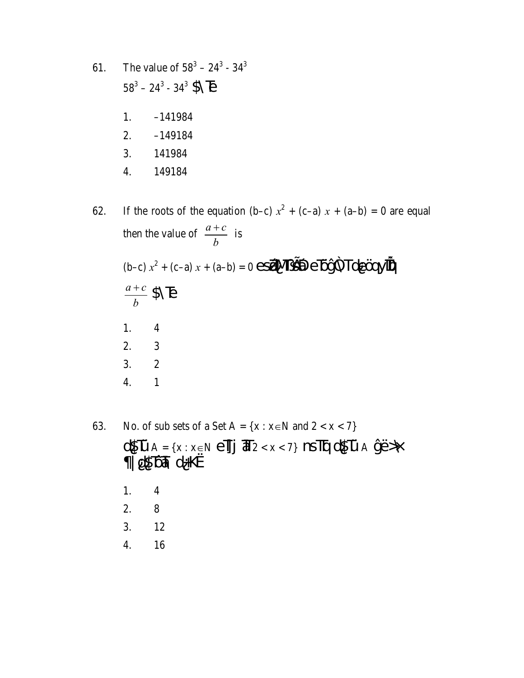61. The value of 
$$
58^3 - 24^3 - 34^3
$$
  
\n $58^3 - 24^3 - 34^3$  NE  
\n1. -141984  
\n2. -149184  
\n3. 141984  
\n4. 149184

If the roots of the equation (b-c)  $x^2 + (c-a)x + (a-b) = 0$  are equal 62. then the value of  $\frac{a+c}{b}$  is (b-c)  $x^2 + (c-a)x + (a-b) = 0$  esérves  $e\overrightarrow{D}$ /2 Tde $\overrightarrow{C}$  $\frac{a+c}{b}$  \$\\tipset \test{ Equation \test{ Equation \test{ Equation \test{ Equation \test{ Equation \test{ Equation \test{ Equation \test{ Equation \test{ Equation \test{ Equation \test{ Equation \test{ Equation \test{ E  $1.$  $\overline{4}$  $\overline{2}$ .  $\overline{3}$  $\overline{c}$  $3.$  $\overline{4}$ .  $\mathbf 1$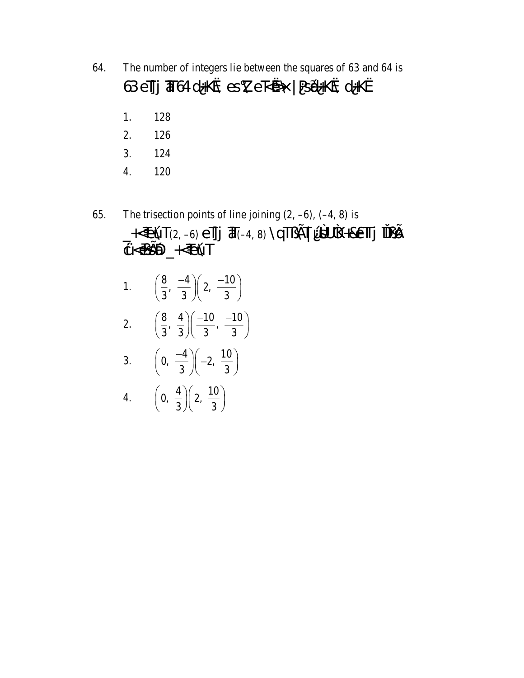- 64. The number of integers lie between the squares of 63 and 64 is 63 el]j  $\overline{a}$  64 d+K& es X e kø\ | BéHK& d+K«
	- 1. 128
	- 2. 126
	- 3. 124
	- $\overline{4}$ . 120
- The trisection points of line joining  $(2, -6)$ ,  $(-4, 8)$  is 65.
	- -KEÚT(2,-6) eT] T(-4, 8) \qT{KTU\$UK+&eTTj TT{B}<br>¢KQ\$\$D\_KEÚT 1.  $\left(\frac{8}{3}, \frac{-4}{3}\right)\left(2, \frac{-10}{3}\right)$ 2.  $\left(\frac{8}{3}, \frac{4}{3}\right)\left(\frac{-10}{3}, \frac{-10}{3}\right)$ 3.  $\left(0, \frac{-4}{3}\right)\left(-2, \frac{10}{3}\right)$ 4.  $\left(0, \frac{4}{3}\right)\left(2, \frac{10}{3}\right)$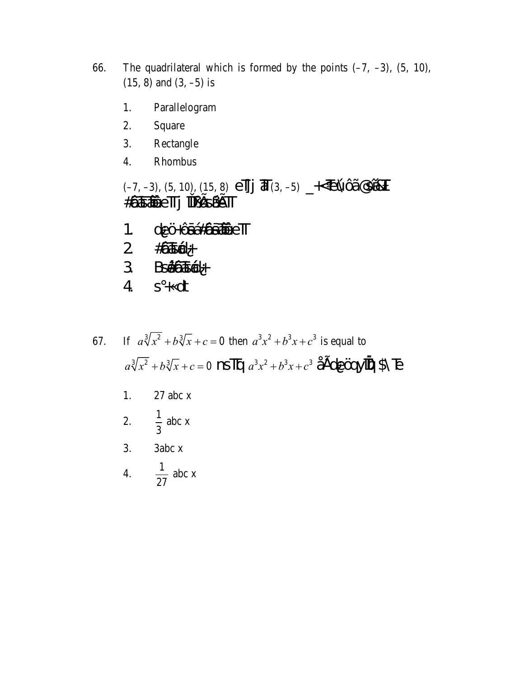- 66. The quadrilateral which is formed by the points  $(-7, -3)$ ,  $(5, 10)$ ,  $(15, 8)$  and  $(3, -5)$  is
	- Parallelogram 1.
	- 2. Square
	- 3. Rectangle
	- $\overline{4}$ . Rhombus

 $(-7, -3)$ , (5, 10), (15, 8)  $e^{2\pi}$  **J**  $\overline{d}(3, -5)$   $\rightarrow$  EVO  $\overline{d}$ **#ÖJGAÖETTj TULESÁETT** 

- deÖ+Ôá#âáADeTT  $1<sub>1</sub>$
- $\overline{2}$  $\#\! \widehat{\mathbf{Q}} \mathbf{K} \widehat{\mathbf{Q}} +$
- $3$  Bs $66666$
- $\overline{4}$  $s + dt$

If  $a^3\sqrt[3]{x^2} + b^3\sqrt{x} + c = 0$  then  $a^3x^2 + b^3x + c^3$  is equal to 67.  $a^3\sqrt{x^2} + b^3\sqrt{x} + c = 0$  nsTg  $a^3x^2 + b^3x + c^3$  ÅEde $\ddot{C}$ eryit $\ddot{C}$ PS E

- $27$  abc x 1.
- $\frac{1}{3}$  abc x  $2.$
- 3abc x 3.

4. 
$$
\frac{1}{27} \text{ abc x}
$$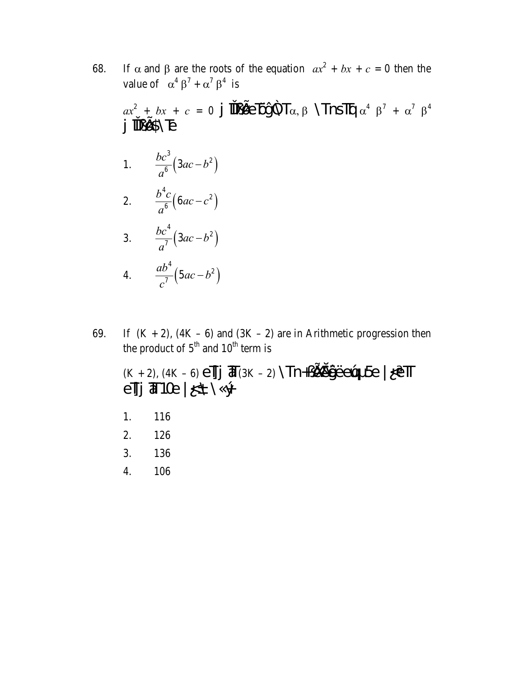If  $\alpha$  and  $\beta$  are the roots of the equation  $ax^2 + bx + c = 0$  then the 68. value of  $\alpha^4 \beta^7 + \alpha^7 \beta^4$  is

 $ax^2 + bx + c = 0$  j  $\frac{1}{2} \frac{1}{2} \frac{1}{2} \frac{1}{2} \frac{1}{2} \frac{1}{2} \frac{1}{2} \frac{1}{2} \frac{1}{2} \frac{1}{2} \frac{1}{2} \frac{1}{2} \frac{1}{2} \frac{1}{2} \frac{1}{2} \frac{1}{2} \frac{1}{2} \frac{1}{2} \frac{1}{2} \frac{1}{2} \frac{1}{2} \frac{1}{2} \frac{1}{2} \frac{1}{2} \frac{1}{2} \frac{1}{2} \frac{1}{2} \frac{1}{2} \frac{1}{2} \frac$ j TELSNE

- 1.  $\frac{bc^3}{a^6}(3ac-b^2)$
- 2.  $rac{b^4c}{a^6}(6ac-c^2)$
- 3.  $\frac{bc^4}{a^7}(3ac-b^2)$
- 4.  $\frac{ab^4}{c^7}(5ac-b^2)$
- If  $(K + 2)$ ,  $(4K 6)$  and  $(3K 2)$  are in Arithmetic progression then 69. the product of  $5<sup>th</sup>$  and  $10<sup>th</sup>$  term is

$$
\begin{array}{l} \scriptstyle (K+2),\, (4K-6) \, e \overline{I} \overline{J} \overline{J} \, \overline{d} \, (3K-2) \, \prod + \nu \, \underline{d} \overline{d} \overline{d} \overline{d} \overline{e} \, \underline{e} \overline{d} \, \underline{f} \, \underline{e} \, \overline{f} \, \underline{f} \, \underline{f} \, \underline{f} \, \underline{f} \, \underline{f} \, \underline{f} \, \underline{f} \, \underline{f} \, \underline{f} \, \underline{f} \, \underline{f} \, \underline{f} \, \underline{f} \, \underline{f} \, \underline{f} \, \underline{f} \, \underline{f} \, \underline{f} \, \underline{f} \, \underline{f} \, \underline{f} \, \underline{f} \, \underline{f} \, \underline{f} \, \underline{f} \, \underline{f} \, \underline{f} \, \underline{f} \, \underline{f} \, \underline{f} \, \underline{f} \, \underline{f} \, \underline{f} \, \underline{f} \, \underline{f} \, \underline{f} \, \underline{f} \, \underline{f} \, \underline{f} \, \underline{f} \, \underline{f} \, \underline{f} \, \underline{f} \, \underline{f} \, \underline{f} \, \underline{f} \, \underline{f} \, \underline{f} \, \underline{f} \, \underline{f} \, \underline{f} \, \underline{f} \, \underline{f} \, \underline{f} \, \underline{f} \, \underline{f} \, \underline{f} \, \underline{f} \, \underline{f} \, \underline{f} \, \underline{f} \, \underline{f} \, \underline{f} \, \underline{f} \, \underline{f} \, \underline{f} \, \underline{f} \, \underline{f} \, \underline{f} \, \underline{f} \, \underline{f} \, \underline{f} \, \underline{f} \, \underline{f} \, \underline{f} \, \underline{f} \, \underline{f} \, \underline{f} \, \underline{f} \, \underline{f} \, \underline{f} \, \underline{f} \, \underline{f} \, \underline{f} \, \underline{f} \, \underline{f} \, \underline{f} \, \underline{f} \, \underline{f} \, \underline
$$

- 1. 116
- 2. 126
- 3. 136
- $\overline{4}$ . 106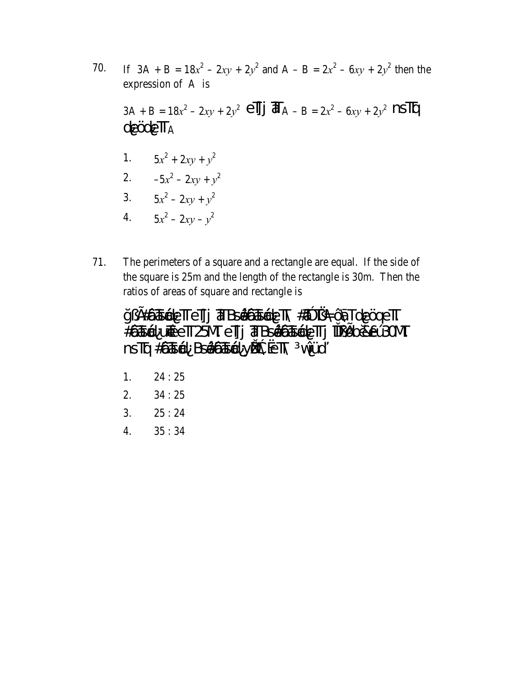- If  $3A + B = 18x^2 2xy + 2y^2$  and  $A B = 2x^2 6xy + 2y^2$  then the 70. expression of A is  $3A + B = 18x^2 - 2xy + 2y^2$  el j  $\overline{d}A - B = 2x^2 - 6xy + 2y^2$  nslg  $de\ddot{Q}$ de $\overline{T}_{A}$ 1.  $5x^2 + 2xy + y^2$ 2.  $-5x^2 - 2xy + y^2$ 3.  $5x^2 - 2xy + y^2$ 4.  $5x^2 - 2xy - y^2$
- 71. The perimeters of a square and a rectangle are equal. If the side of the square is 25m and the length of the rectangle is 30m. Then the ratios of areas of square and rectangle is



- $24:25$ 1.
- $2.$  $34:25$
- $3.$  $25:24$
- $35:34$ 4.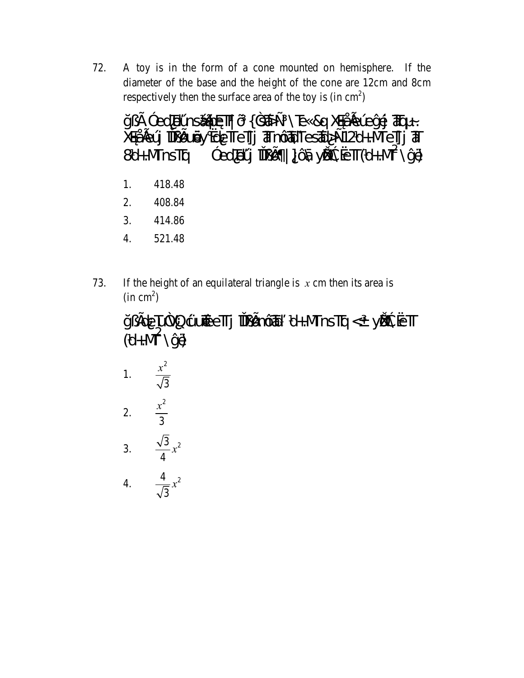72. A toy is in the form of a cone mounted on hemisphere. If the diameter of the base and the height of the cone are 12cm and 8cm respectively then the surface area of the toy is  $(in cm<sup>2</sup>)$ 

Y; E <sup>3</sup> ed Tel h SÁ TRØTT O { 3 TA + \ Te & Q X & A Lel Levi E TRQ ~. XeAleÚ TIELLŐV «deTreTji aTnÔ AT Tes Ád>±12d+.MeTji aT  $3$  ed EU TILE | C NE VE SHET (d+NT \yp 8d+.MinsTg

- 418.48 1.
- 2. 408.84
- 414.86 3.
- 4. 521.48
- If the height of an equilateral triangle is  $x$  cm then its area is 73.  $(in cm<sup>2</sup>)$

y tele LA/Q ture eTTj TTL en Off x d+MnsTq < yesteseTT  $(d+MT\vee \vee \theta)$ 

1. 
$$
\frac{x^2}{\sqrt{3}}
$$
  
\n2.  $\frac{x^2}{3}$   
\n3.  $\frac{\sqrt{3}}{4}x^2$   
\n4.  $\frac{4}{\sqrt{3}}x^2$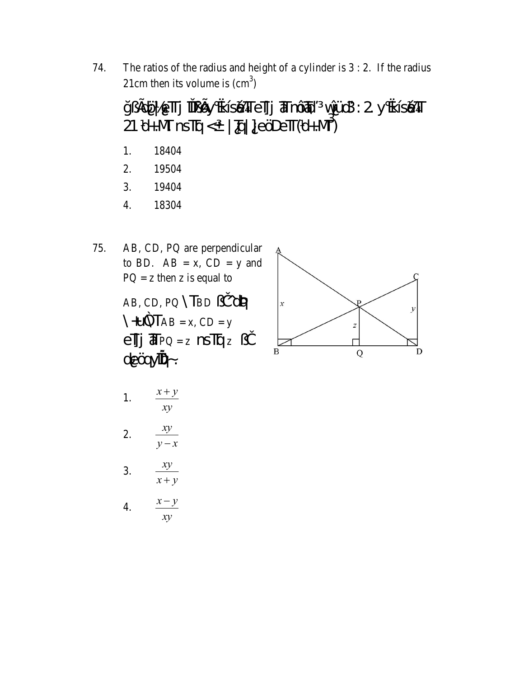The ratios of the radius and height of a cylinder is  $3:2$ . If the radius 74. 21cm then its volume is  $\text{(cm}^3)$ 

y EdÖ eTTj TTLEY «IséTTeTJj TFnÔTA vÜJ3: 2 y «IséTT  $21 d+M \text{ ns} \overline{\text{Iq}} < | \overline{\text{Iq}} | ] \text{e} \overline{\text{O}} \text{e} \overline{\text{Iq}} (d+M^3)$ 

- 18404 1.
- 2. 19504
- 3. 19404
- 18304  $\overline{4}$ .
- AB, CD, PQ are perpendicular 75. to BD.  $AB = x$ ,  $CD = y$  and  $PQ = z$  then z is equal to AB, CD, PQ \TBD ¿Ì ^de/4  $eJj$   $\text{H}$   $PQ = z$   $nSJqz$   $i$ de Ögyilter-.



1. 
$$
\frac{x+y}{xy}
$$
  
2. 
$$
\frac{xy}{y-x}
$$
  
3. 
$$
\frac{xy}{x+y}
$$
  
4. 
$$
\frac{x-y}{xy}
$$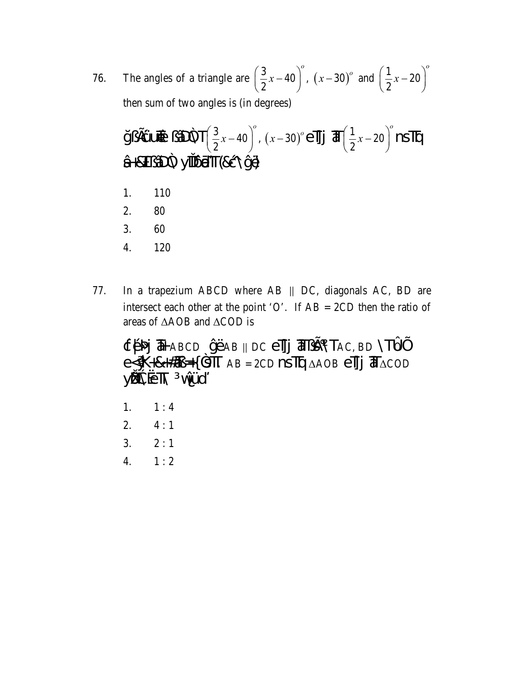The angles of a triangle are  $\left(\frac{3}{2}x-40\right)^{\circ}$ ,  $\left(x-30\right)^{\circ}$  and  $\left(\frac{1}{2}x-20\right)^{\circ}$ 76. then sum of two angles is (in degrees)

- 110 1.
- 2. 80
- 3. 60
- 4. 120
- In a trapezium ABCD where AB || DC, diagonals AC, BD are 77. intersect each other at the point 'O'. If  $AB = 2CD$  then the ratio of areas of  $\triangle AOB$  and  $\triangle COD$  is

ФЕЗИ Тавср УЁАв || DC e]] Тазе \Тас, во \Тюр  $e\leq \mathbf{K} + 8 + 4\pi + 4 \leq \mathbf{K}$  AB = 2CD  $\mathbf{NS}$  TQ  $\Delta AOB$   $\mathbf{eff}$   $\overline{\mathbf{d}}\Delta COD$ yieseth viù

- 1.  $1:4$
- 2.  $4:1$
- 3.  $2:1$
- $\overline{4}$ .  $1:2$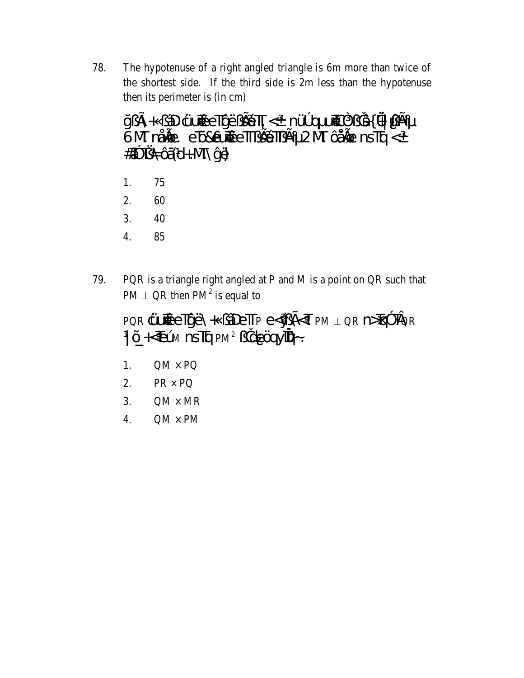78. The hypotenuse of a right angled triangle is 6m more than twice of the shortest side. If the third side is 2m less than the hypotenuse then its perimeter is (in cm)

jy: A + قَانِ 42% p<sup>0</sup>Um > The Edition signal point & + A 3 yie<br>A M mAile e Diseume Edit H 2 M Callen nsTg < # TAC (d+N VH)

- 75 1.
- $2.$ 60
- 40 3.
- 85  $\overline{4}$ .
- 79. PQR is a triangle right angled at P and M is a point on QR such that  $PM \perp QR$  then  $PM^2$  is equal to

| PQR CUTECTIVE \+ ¿ADETTP e <vest 1="" n="" pm="" qr="">TQ3 TQR</vest>   |  |
|-------------------------------------------------------------------------|--|
| $ \tilde{Q}+\epsilon E(\hat{M}) $ nstra pm <sup>2</sup> ¿ide Conying -. |  |

- $QM \times PQ$ 1.
- 2.  $PR \times PQ$
- $QM \times MR$  $3.$
- $QM \times PM$ 4.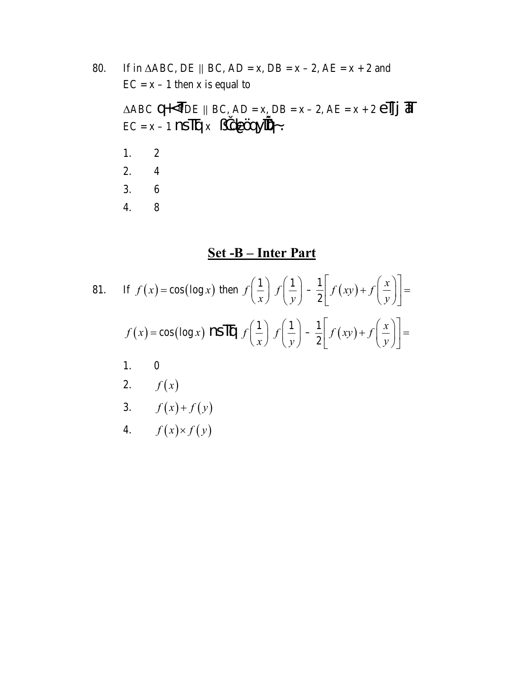80. If in  $\triangle ABC$ , DE || BC, AD = x, DB = x - 2, AE = x + 2 and  $EC = x - 1$  then x is equal to  $\triangle ABC$  Q<sup>+<</sup>TDE || BC, AD = x, DB = x - 2, AE = x + 2  $\angle$ TJ  $\overline{d}$  $EC = x - 1$  nsTg  $x$  jdeCoyTQ.  $1.$  $\overline{2}$ 2.  $\overline{4}$  $3.$  $6\,$  $\overline{4}$ .  $8\,$ 

#### Set-B-Inter Part

81. If 
$$
f(x) = \cos(\log x)
$$
 then  $f\left(\frac{1}{x}\right) f\left(\frac{1}{y}\right) - \frac{1}{2} \left[ f(xy) + f\left(\frac{x}{y}\right) \right] =$   
\n $f(x) = \cos(\log x)$   $\text{NS}\Pi \left[ f\left(\frac{1}{x}\right) f\left(\frac{1}{y}\right) - \frac{1}{2} \left[ f(xy) + f\left(\frac{x}{y}\right) \right] =$   
\n1. 0  
\n2.  $f(x)$   
\n3.  $f(x)+f(y)$   
\n4.  $f(x) \times f(y)$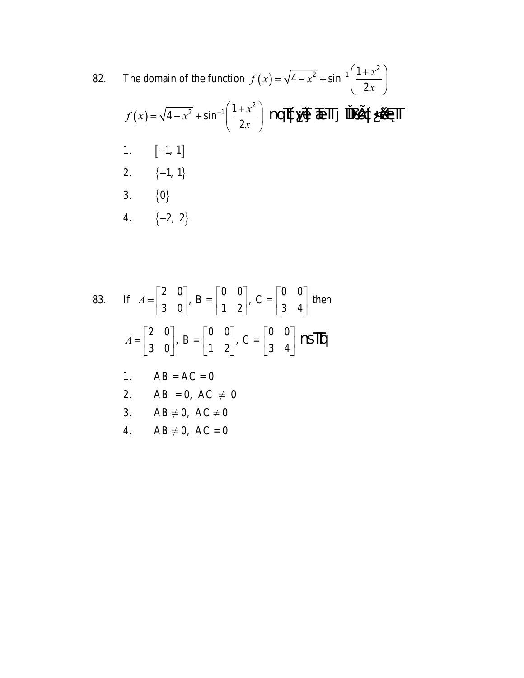83. If 
$$
A = \begin{bmatrix} 2 & 0 \ 3 & 0 \end{bmatrix}
$$
,  $B = \begin{bmatrix} 0 & 0 \ 1 & 2 \end{bmatrix}$ ,  $C = \begin{bmatrix} 0 & 0 \ 3 & 4 \end{bmatrix}$  then  
\n
$$
A = \begin{bmatrix} 2 & 0 \ 3 & 0 \end{bmatrix}
$$
,  $B = \begin{bmatrix} 0 & 0 \ 1 & 2 \end{bmatrix}$ ,  $C = \begin{bmatrix} 0 & 0 \ 3 & 4 \end{bmatrix}$  **NS TQ**  
\n1.  $AB = AC = 0$   
\n2.  $AB = 0$ ,  $AC \neq 0$   
\n3.  $AB \neq 0$ ,  $AC \neq 0$   
\n4.  $AB \neq 0$ ,  $AC = 0$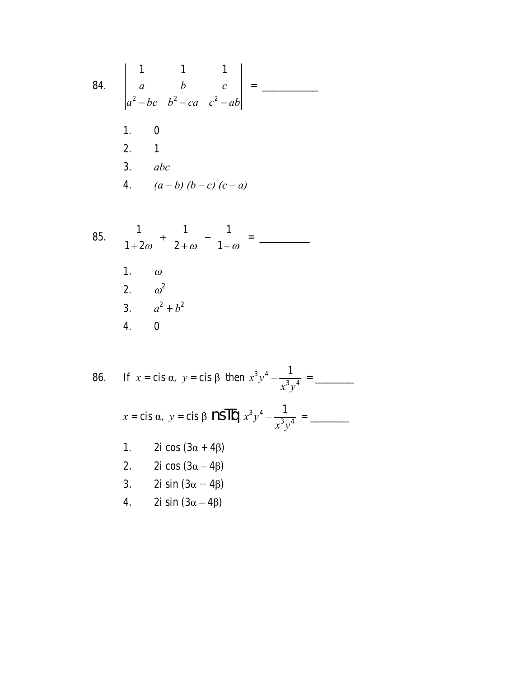84. 
$$
\begin{vmatrix} 1 & 1 & 1 \\ a & b & c \\ a^2 - bc & b^2 - ca & c^2 - ab \end{vmatrix} =
$$
 \_\_\_\_\_\_  
1. 0  
2. 1  
3. abc  
4.  $(a - b) (b - c) (c - a)$ 

85. 
$$
\frac{1}{1+2\omega} + \frac{1}{2+\omega} - \frac{1}{1+\omega} =
$$

86. If 
$$
x = \text{cis } \alpha
$$
,  $y = \text{cis } \beta$  then  $x^3 y^4 - \frac{1}{x^3 y^4} =$   
\n $x = \text{cis } \alpha$ ,  $y = \text{cis } \beta$  **NS**  $\overline{10}$   $x^3 y^4 - \frac{1}{x^3 y^4} =$   
\n1. 2i cos (3α + 4β)  
\n2. 2i cos (3α - 4β)  
\n3. 2i sin (3α + 4β)  
\n4. 2i sin (3α - 4β)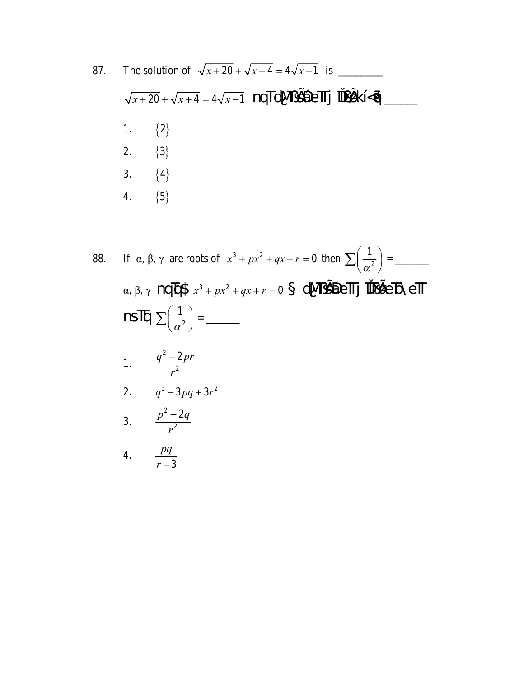87.  $\sqrt{x+20} + \sqrt{x+4} = 4\sqrt{x-1}$  nqTdNL SEL Tj ill LKI  $\ll 1$  ${2}$ 1. 2.  $\{3\}$ 3.  ${4}$ 4.  ${5}$ 

88.  $\alpha$ ,  $\beta$ ,  $\gamma$  nq  $\alpha$ \$  $x^3 + px^2 + qx + r = 0$  dM  $\beta$ \$40 $\epsilon$ T j TU  $\beta$  $\epsilon$  De T 1.  $\frac{q^2-2pr}{r^2}$ 2.  $q^3 - 3pq + 3r^2$ 

$$
3. \qquad \frac{p^2 - 2q}{r^2}
$$

4. 
$$
\frac{pq}{r-3}
$$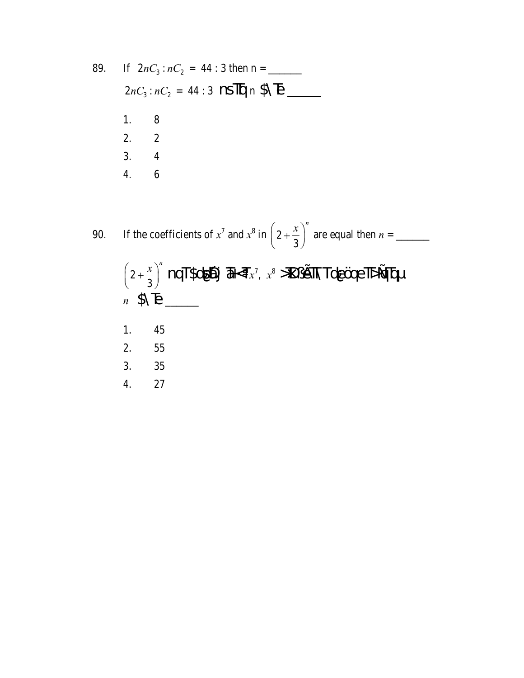89. If 
$$
2nC_3 : nC_2 = 44 : 3
$$
 then  $n =$   
\n $2nC_3 : nC_2 = 44 : 3$  **NSTQ**  $n$  \$ $\bigsetminus$   $\bigsetminus$   
\n1. 8  
\n2. 2  
\n3. 4  
\n4. 6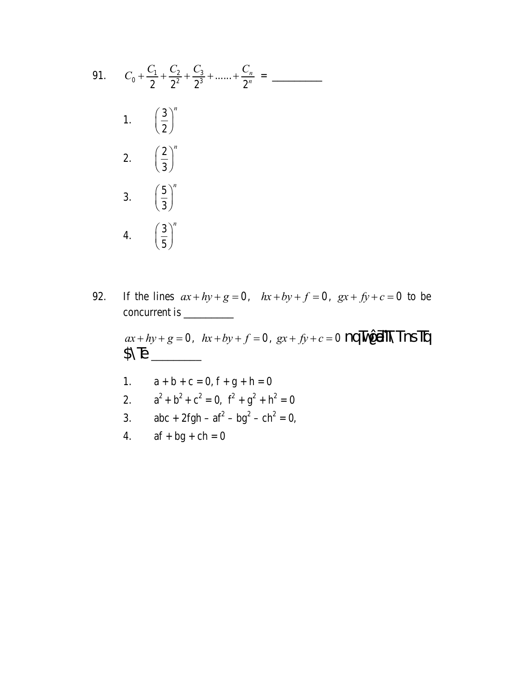91. 
$$
C_0 + \frac{C_1}{2} + \frac{C_2}{2^2} + \frac{C_3}{2^3} + \dots + \frac{C_n}{2^n} =
$$
  
\n1.  $\left(\frac{3}{2}\right)^n$   
\n2.  $\left(\frac{2}{3}\right)^n$   
\n3.  $\left(\frac{5}{3}\right)^n$   
\n4.  $\left(\frac{3}{5}\right)^n$ 

If the lines  $ax + hy + g = 0$ ,  $hx + by + f = 0$ ,  $gx + fy + c = 0$  to be 92. 

 $ax + hy + g = 0$ ,  $hx + by + f = 0$ ,  $gx + fy + c = 0$  nqTvQbitTnsTq  $\begin{picture}(20,20) \put(0,0){\line(1,0){10}} \put(15,0){\line(1,0){10}} \put(15,0){\line(1,0){10}} \put(15,0){\line(1,0){10}} \put(15,0){\line(1,0){10}} \put(15,0){\line(1,0){10}} \put(15,0){\line(1,0){10}} \put(15,0){\line(1,0){10}} \put(15,0){\line(1,0){10}} \put(15,0){\line(1,0){10}} \put(15,0){\line(1,0){10}} \put(15,0){\line(1$ 

- $a + b + c = 0, f + g + h = 0$  $1.$
- $a^{2} + b^{2} + c^{2} = 0$ ,  $f^{2} + g^{2} + h^{2} = 0$  $2.$
- $abc + 2fgh af^2 bg^2 ch^2 = 0,$  $3.$
- $af + bg + ch = 0$ 4.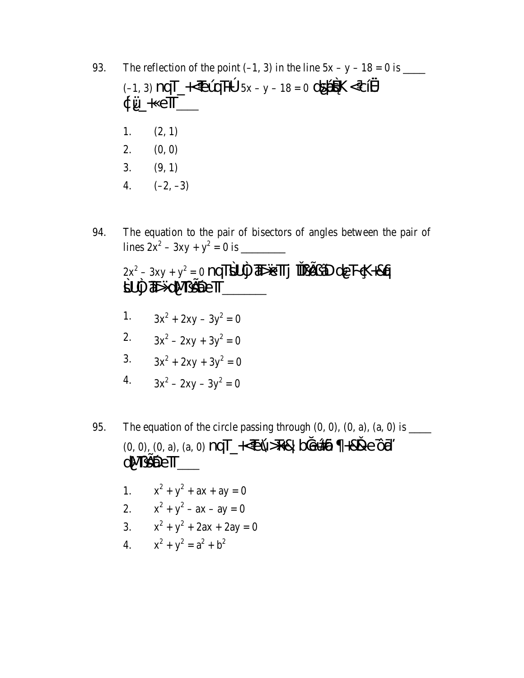- The reflection of the point (-1, 3) in the line  $5x y 18 = 0$  is \_\_\_\_\_\_\_ 93.  $(-1, 3)$  nqT\_ $\leftarrow$ ELQT<sup>p</sup> 5x - y - 18 = 0 ds**PBK** < cl $\frac{1}{2}$  $\phi$ U +  $e$ T \_\_\_ 1.  $(2, 1)$ 2.  $(0, 0)$  $3.$  $(9, 1)$ 4.  $(-2, -3)$
- The equation to the pair of bisectors of angles between the pair of 94.

$$
2x^2 - 3xy + y^2 = 0
$$
 nqT\$UJ  $\overline{4}b$  eTTj  $\overline{1}l$  j $\overline{2}l$  de F $\overline{4}k$ +8q  
\$UJ  $\overline{4}b$  dNJ\$ $\overline{2}l$  eTT

- 1.  $3x^2 + 2xy 3y^2 = 0$
- 2.  $3x^2 2xy + 3y^2 = 0$
- 3.  $3x^2 + 2xy + 3y^2 = 0$
- $3x^2 2xy 3y^2 = 0$ 4.
- 95.  $(0, 0), (0, a), (a, 0)$  nqT\_ $\leftarrow$ EÚ>T+& botetán +8&e Ôn  $dM$   $\mathbf{S}$ 
	- 1.  $x^2 + y^2 + ax + ay = 0$
	- 2.  $x^2 + y^2 ax ay = 0$
	- 3.  $x^2 + y^2 + 2ax + 2ay = 0$
	- 4.  $x^2 + y^2 = a^2 + b^2$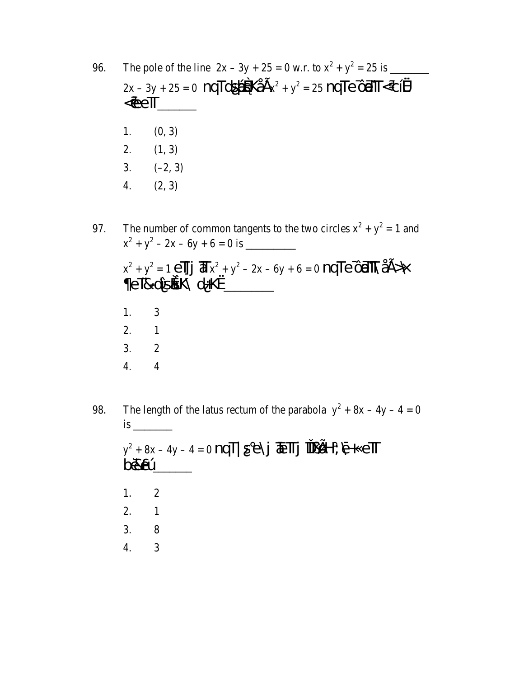96.  $2x - 3y + 25 = 0$  nqTds**Ás**KÅ $Ex^2 + y^2 = 25$  nqTe  $\hat{Q}$ **a**TT<c[ $\frac{2}{3}$ K4  $\leq$ @e $\mathsf{T}$ 1.  $(0, 3)$  $(1, 3)$ 2. 3.  $(-2, 3)$  $(2, 3)$ 4.

The number of common tangents to the two circles  $x^2 + y^2 = 1$  and 97.  $x^{2} + y^{2} = 1 \text{ e}$   $\int \int \mathbf{F} x^{2} + y^{2} - 2x - 6y + 6 = 0 \text{ nq} \cdot \text{ e}$ eT&dÎsék\d+K«\_\_\_\_\_\_  $1.$ 3  $2.$  $\mathbf{1}$ 3.  $\overline{2}$  $\overline{4}$ .  $\overline{4}$ 

The length of the latus rectum of the parabola  $y^2 + 8x - 4y - 4 = 0$ 98. *is*  $y^2 + 8x - 4y - 4 = 0$  nqT  $\leq e\$   $\frac{1}{2}$  TeT  $\int$  Tu  $\frac{1}{2}$  +  $\frac{1}{2}$  +  $\frac{1}{2}$  +  $\frac{1}{2}$  +  $\frac{1}{2}$ **boxe**U 1.  $\overline{2}$ 2.  $\mathbf{1}$ 3. 8  $\overline{4}$ .  $\overline{3}$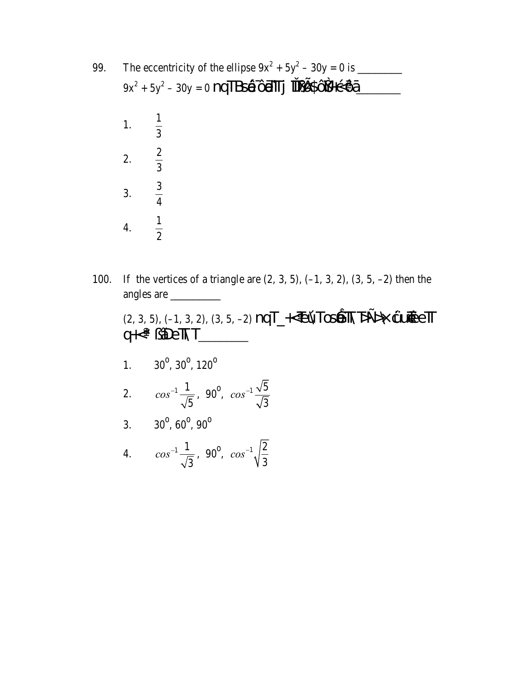| 99. | The eccentricity of the ellipse $9x^2 + 5y^2 - 30y = 0$ is<br>$9x^2 + 5y^2 - 30y = 0$ nqTBs <b>Á</b> ÔáTTj îTț£\$ÔY+çcÔi |                |  |
|-----|--------------------------------------------------------------------------------------------------------------------------|----------------|--|
|     | 1. $\frac{1}{3}$                                                                                                         |                |  |
|     | 2. $\frac{2}{3}$                                                                                                         |                |  |
|     | 3. $\frac{3}{4}$                                                                                                         |                |  |
|     |                                                                                                                          | $\overline{2}$ |  |

If the vertices of a triangle are  $(2, 3, 5)$ ,  $(-1, 3, 2)$ ,  $(3, 5, -2)$  then the 100. angles are

 $(2, 3, 5), (-1, 3, 2), (3, 5, -2)$  nqT\_ $\leftarrow$ EÚToséTNE $\rightarrow$  $q \nleftrightarrow \tilde{q}$   $\tilde{p}$   $\tilde{p}$   $\tilde{p}$   $\tilde{p}$   $\tilde{p}$   $\tilde{p}$ 1.  $30^{\circ}, 30^{\circ}, 120^{\circ}$ 2.  $cos^{-1} \frac{1}{\sqrt{5}}$ , 90<sup>o</sup>,  $cos^{-1} \frac{\sqrt{5}}{\sqrt{3}}$ 3.  $30^{\circ}, 60^{\circ}, 90^{\circ}$ 

4.  $cos^{-1} \frac{1}{\sqrt{3}}$ , 90<sup>o</sup>,  $cos^{-1} \sqrt{\frac{2}{3}}$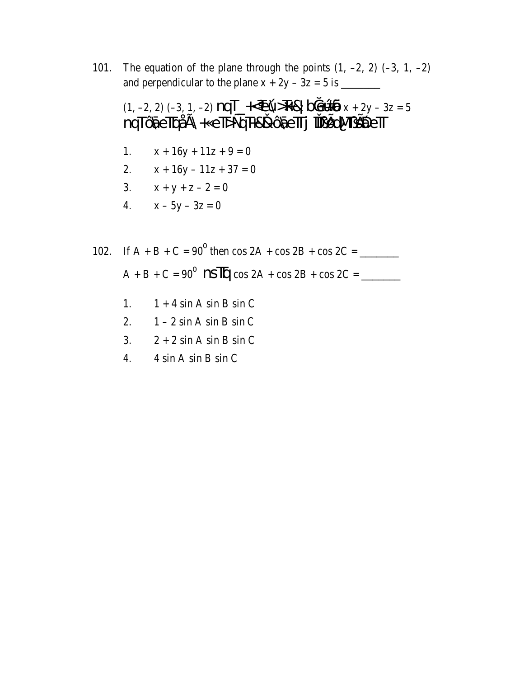The equation of the plane through the points  $(1, -2, 2)$   $(-3, 1, -2)$ 101. 

1.  $x + 16y + 11z + 9 = 0$ 

2. 
$$
x + 16y - 11z + 37 = 0
$$
  
3.  $x + y + z - 2 = 0$ 

$$
3. \qquad x + y + z - 2 = 0
$$

$$
4. \qquad x - 5y - 3z = 0
$$

102. If A + B + C = 90<sup>o</sup> then cos 2A + cos 2B + cos 2C = \_\_\_\_\_\_\_ A + B + C = 90<sup>o</sup> **NS** 
$$
\overline{Iq}
$$
 cos 2A + cos 2B + cos 2C = \_\_\_\_\_\_\_

\n- 1. 
$$
1 + 4 \sin A \sin B \sin C
$$
\n- 2.  $1 - 2 \sin A \sin B \sin C$
\n- 3.  $2 + 2 \sin A \sin B \sin C$
\n

 $\overline{4}$ . 4 sin A sin B sin C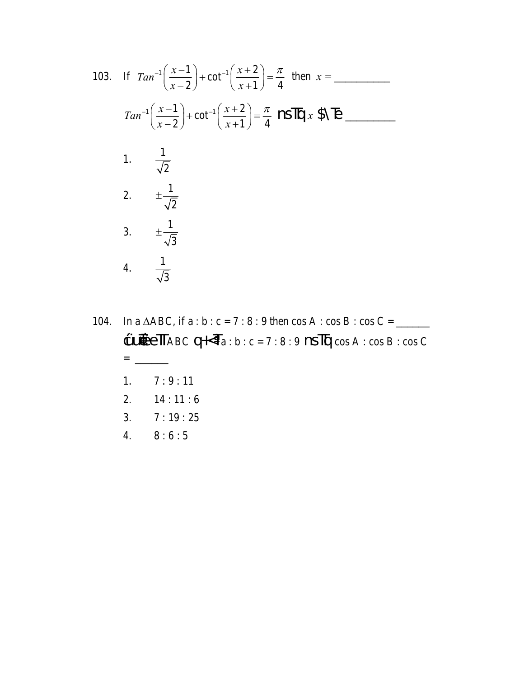103. If 
$$
Tan^{-1}\left(\frac{x-1}{x-2}\right) + \cot^{-1}\left(\frac{x+2}{x+1}\right) = \frac{\pi}{4}
$$
 then  $x =$   
\n
$$
Tan^{-1}\left(\frac{x-1}{x-2}\right) + \cot^{-1}\left(\frac{x+2}{x+1}\right) = \frac{\pi}{4}
$$
  $NSITQ x$   $SNE$   
\n1.  $\frac{1}{\sqrt{2}}$   
\n2.  $\pm \frac{1}{\sqrt{2}}$   
\n3.  $\pm \frac{1}{\sqrt{3}}$   
\n4.  $\frac{1}{\sqrt{3}}$ 

104. In a  $\triangle ABC$ , if a : b : c = 7 : 8 : 9 then cos A : cos B : cos C = \_\_\_\_\_  $\label{eq:QHABC} \begin{array}{ll} \text{GLH}\bullet \text{GLH}\bullet \text{GLH}\bullet \text{GLH}\bullet \text{GLH}\bullet \text{GLH}\bullet \text{GLH}\bullet \text{GLH}\bullet \text{GLH}\bullet \text{GLH}\bullet \text{GLH}\bullet \text{GLH}\bullet \text{GLH}\bullet \text{GLH}\bullet \text{GLH}\bullet \text{GLH}\bullet \text{GLH}\bullet \text{GLH}\bullet \text{GLH}\bullet \text{GLH}\bullet \text{GLH}\bullet \text{GLH}\bullet \text{GLH}\bullet \text{GLH}\bullet \text{GLH}\bullet \text{GLH}\bullet \text{GLH}\bullet \text{GLH}\bullet \text{GLH}\bullet$  $= \underline{\hspace{1cm}}$  $7:9:11$ 1. 2.  $14:11:6$  $3.$  $7:19:25$  $\overline{4}$ .  $8:6:5$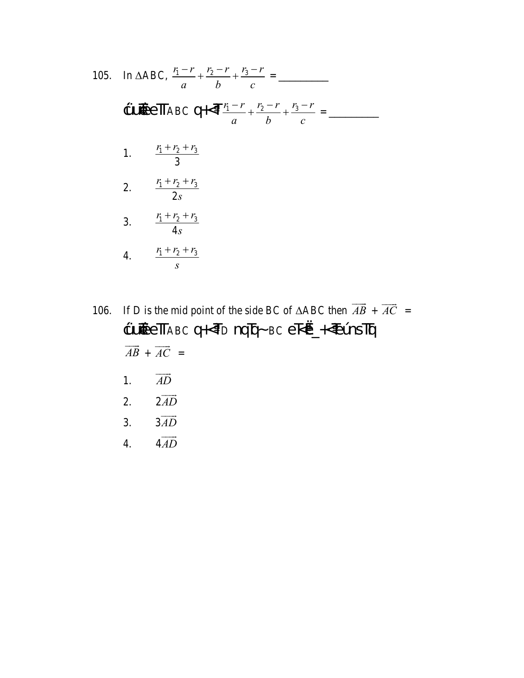105. In 
$$
\triangle ABC
$$
,  $\frac{r_1 - r_2}{a} + \frac{r_2 - r_1}{b} + \frac{r_3 - r_2}{c} =$   
\n
$$
\oint \overline{C} \overline{C} \overline{C} = \overline{C}
$$
\n1.  $\frac{r_1 + r_2 + r_3}{3}$   
\n2.  $\frac{r_1 + r_2 + r_3}{2s}$   
\n3.  $\frac{r_1 + r_2 + r_3}{4s}$   
\n4.  $\frac{r_1 + r_2 + r_3}{s}$ 

106. If D is the mid point of the side BC of  $\triangle$ ABC then  $\overrightarrow{AB} + \overrightarrow{AC} =$ ¢UDEeTTABC qKTD nqTq~BC eT<Ø\_KEUnSTTq  $\overrightarrow{AB}+\overrightarrow{AC} =$  $\overrightarrow{AD}$  $1.$ 

- $2\overrightarrow{AD}$ 2.
- $3\overrightarrow{AD}$  $3.$
- $4\overrightarrow{AD}$  $\overline{4}$ .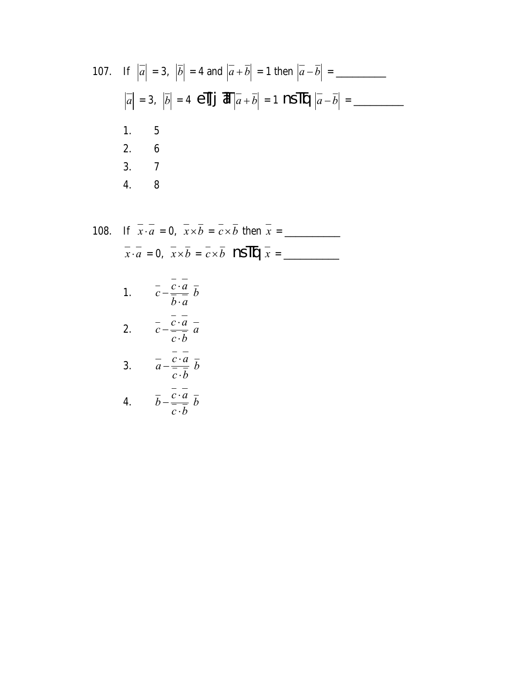107. If 
$$
|\overline{a}| = 3
$$
,  $|\overline{b}| = 4$  and  $|\overline{a} + \overline{b}| = 1$  then  $|\overline{a} - \overline{b}| =$   
\n $|\overline{a}| = 3$ ,  $|\overline{b}| = 4$  e  
\n**11.** 5  
\n1. 5  
\n2. 6  
\n3. 7  
\n4. 8

108. If 
$$
\overline{x} \cdot \overline{a} = 0
$$
,  $\overline{x} \times \overline{b} = \overline{c} \times \overline{b}$  then  $\overline{x} =$   
\n $\overline{x} \cdot \overline{a} = 0$ ,  $\overline{x} \times \overline{b} = \overline{c} \times \overline{b}$   $\overline{}$   $\overline{}$   $\overline{}$   
\n1.  $\overline{c} - \frac{\overline{c} \cdot \overline{a}}{\overline{b} \cdot \overline{a}} \overline{b}$   
\n2.  $\overline{c} - \frac{\overline{c} \cdot \overline{a}}{\overline{c} \cdot \overline{b}} \overline{a}$   
\n3.  $\overline{a} - \frac{\overline{c} \cdot \overline{a}}{\overline{c} \cdot \overline{b}} \overline{b}$   
\n4.  $\overline{b} - \frac{\overline{c} \cdot \overline{a}}{\overline{c} \cdot \overline{b}} \overline{b}$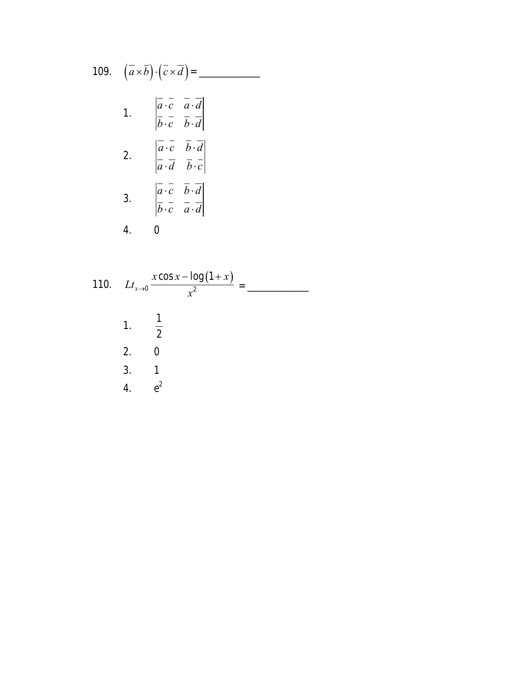109. 
$$
(\overline{a} \times \overline{b}) \cdot (\overline{c} \times \overline{d}) =
$$
\n1. 
$$
\begin{vmatrix} \overline{a} \cdot \overline{c} & \overline{a} \cdot \overline{d} \\ \overline{b} \cdot \overline{c} & \overline{b} \cdot \overline{d} \end{vmatrix}
$$
\n2. 
$$
\begin{vmatrix} \overline{a} \cdot \overline{c} & \overline{b} \cdot \overline{d} \\ \overline{a} \cdot \overline{d} & \overline{b} \cdot \overline{c} \end{vmatrix}
$$
\n3. 
$$
\begin{vmatrix} \overline{a} \cdot \overline{c} & \overline{b} \cdot \overline{d} \\ \overline{b} \cdot \overline{c} & \overline{a} \cdot \overline{d} \end{vmatrix}
$$
\n4. 0

110. 
$$
Lt_{x\to0} \frac{x \cos x - \log(1+x)}{x^2} =
$$
  
\n1.  $\frac{1}{2}$   
\n2. 0  
\n3. 1  
\n4.  $e^2$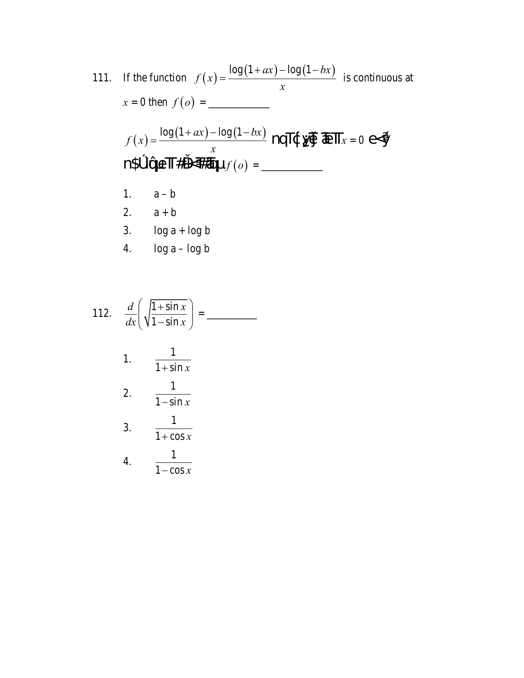111. If the function 
$$
f(x) = \frac{\log(1+ax) - \log(1-bx)}{x}
$$
 is continuous at  
\n $x = 0$  then  $f(o) = \underline{\hspace{1cm}}$   
\n $f(x) = \frac{\log(1+ax) - \log(1-bx)}{x}$  nqT $\oint \sqrt{\frac{1}{2}} \overline{\text{det}} \overline{\text{det}} x = 0 \text{ e}<\hat{Y}$   
\nn $\oint \text{ln} \overline{\text{ln}} \overline{\text{ln}} \overline{\text{det}} \overline{\text{det}} f(o) = \underline{\hspace{1cm}}$   
\n1.  $a - b$   
\n2.  $a + b$   
\n3.  $\log a + \log b$   
\n4.  $\log a - \log b$ 

112. 
$$
\frac{d}{dx} \left( \sqrt{\frac{1 + \sin x}{1 - \sin x}} \right) =
$$
\n1. 
$$
\frac{1}{1 + \sin x}
$$
\n2. 
$$
\frac{1}{1 - \sin x}
$$
\n3. 
$$
\frac{1}{1 + \cos x}
$$
\n4. 
$$
\frac{1}{1 - \cos x}
$$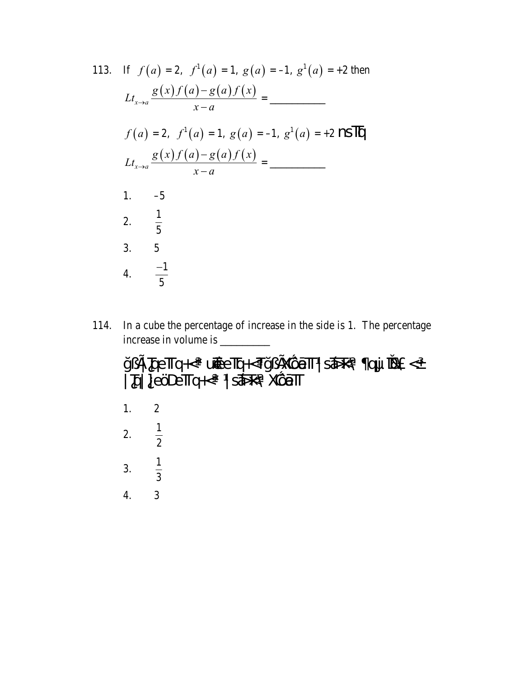113. If 
$$
f(a) = 2
$$
,  $f'(a) = 1$ ,  $g(a) = -1$ ,  $g'(a) = +2$  then  
\n
$$
Lt_{x\to a} \frac{g(x)f(a) - g(a)f(x)}{x - a} =
$$
\n
$$
f(a) = 2
$$
,  $f'(a) = 1$ ,  $g(a) = -1$ ,  $g'(a) = +2$  **NS IN** 
$$
Lt_{x\to a} \frac{g(x)f(a) - g(a)f(x)}{x - a} =
$$
\n1. -5  
\n2.  $\frac{1}{5}$   
\n3. 5  
\n4.  $\frac{-1}{5}$ 

114. In a cube the percentage of increase in the side is 1. The percentage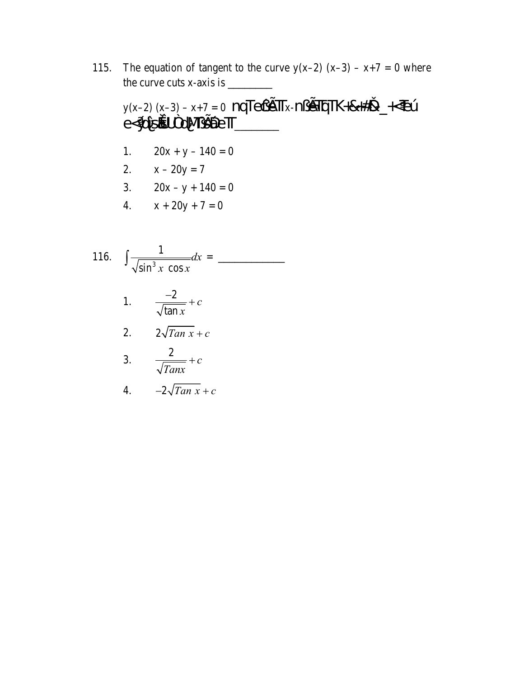The equation of tangent to the curve  $y(x-2) (x-3) - x+7 = 0$  where 115. 

y(x-2)(x-3)-x+7=0 nqTeq; ETTx-n; ETTqTK+&+#&\_+<EÚ<br>e<Ydis&UPdN; SEDeTT\_\_\_\_\_\_\_

1. 
$$
20x + y - 140 = 0
$$

$$
2. \qquad x - 20y = 7
$$

3. 
$$
20x - y + 140 = 0
$$

4. 
$$
x + 20y + 7 = 0
$$

116. 
$$
\int \frac{1}{\sqrt{\sin^3 x \cos x}} dx =
$$

3. 
$$
\frac{2}{\sqrt{Tanx}} + c
$$

4. 
$$
-2\sqrt{Tan x} + c
$$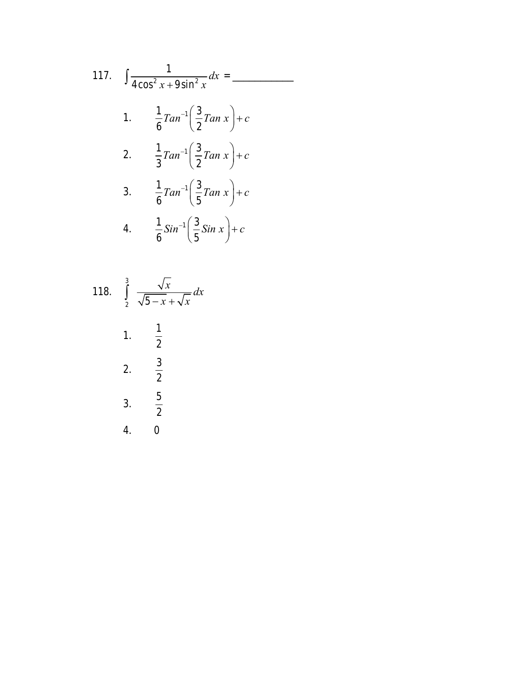117. 
$$
\int \frac{1}{4\cos^2 x + 9\sin^2 x} dx =
$$
  
\n1. 
$$
\frac{1}{6} \tan^{-1} \left( \frac{3}{2} \tan x \right) + c
$$
  
\n2. 
$$
\frac{1}{3} \tan^{-1} \left( \frac{3}{2} \tan x \right) + c
$$
  
\n3. 
$$
\frac{1}{6} \tan^{-1} \left( \frac{3}{5} \tan x \right) + c
$$
  
\n4. 
$$
\frac{1}{6} \sin^{-1} \left( \frac{3}{5} \sin x \right) + c
$$

118. 
$$
\int_{2}^{3} \frac{\sqrt{x}}{\sqrt{5 - x} + \sqrt{x}} dx
$$
  
1. 
$$
\frac{1}{2}
$$
  
2. 
$$
\frac{3}{2}
$$
  
3. 
$$
\frac{5}{2}
$$
  
4. 0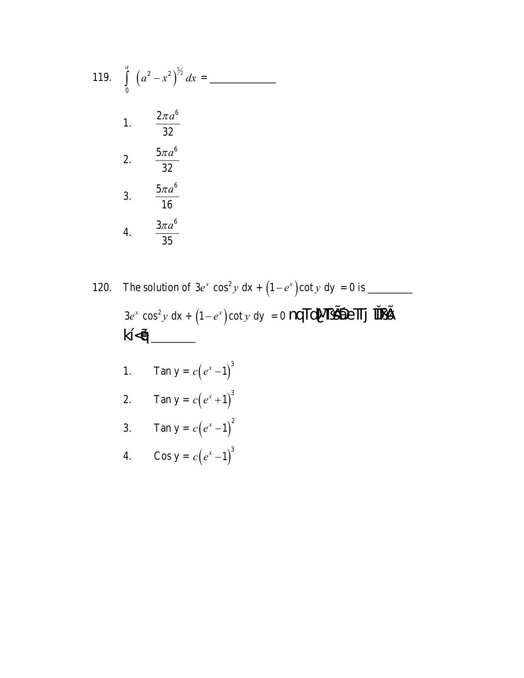119. 
$$
\int_{0}^{a} (a^{2} - x^{2})^{\frac{5}{2}} dx =
$$

- 120.  $3e^x \cos^2 y \, dx + (1-e^x)\cot y \, dy = 0$  nqTdNL sine Tj TLE  $k < q$ 
	- Tan  $y = c(e^x 1)^3$  $1.$
	- Tan  $y = c(e^x + 1)^3$  $\overline{2}$ .
	- 3. Tan  $y = c(e^x 1)^2$
	- Cos y =  $c(e^x 1)^3$ 4.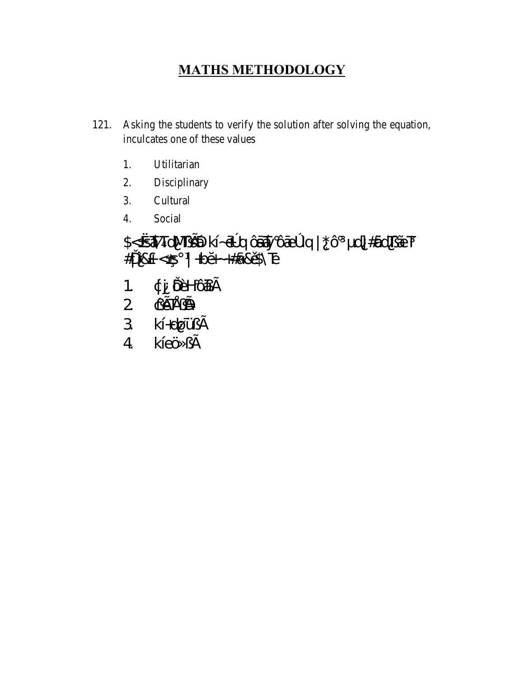### **MATHS METHODOLOGY**

- Asking the students to verify the solution after solving the equation, 121. inculcates one of these values
	- 1. Utilitarian
	- 2. Disciplinary
	- 3. Cultural
	- Social  $\overline{4}$ .

# \$<<**ATdME@** kÍ~@ q Ôa**Á**y Ôáeº Ìq | \*Ô d] #ÖdTLÃET  $\# \parallel \hat{l} \&+ < \mathcal{G} \parallel + \hat{b} \tilde{\sigma} \sim + \# \hat{a} \& \hat{b} \& \tilde{b} \parallel$

- ¢j ŒHÔáE  $1.$
- 
- 
-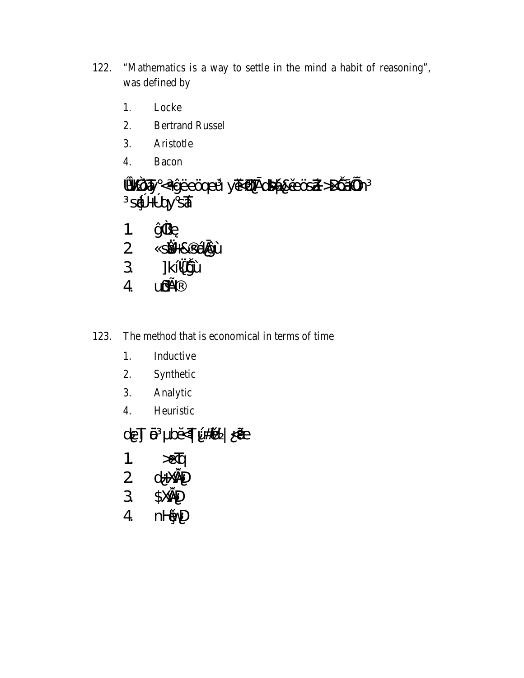- "Mathematics is a way to settle in the mind a habit of reasoning", 122. was defined by
	- 1. Locke
	- $2.$ **Bertrand Russel**
	- $3.$ Aristotle
	- $\overline{4}$ . Bacon

»VÔFy <+ýËeÖgeÚ yūkçládsá&ûeÖsá >DÔájun  $S\tilde{Q} + ^{\circ} QY S\tilde{A}$ ý<sup>2</sup>¿Ù  $1<sub>1</sub>$ 2 silka&sélàýÙ 3 ]k[*{ij*jU UUEH  $\overline{4}$ 

- The method that is economical in terms of time 123.
	- 1. Inductive
	- 2. Synthetic
	- 3. Analytic
	- Heuristic  $\overline{4}$ .

de] @ bost| Ú#od | ⊲4E

- $\mathcal{B}$ 1.
- 2  $d + \times 2D$
- $\overline{3}$ \$XGND
- $\overline{4}$ nHWD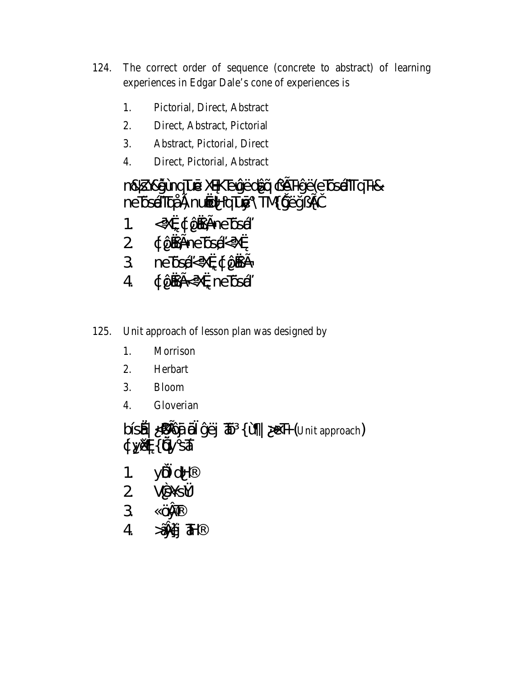- The correct order of sequence (concrete to abstract) of learning 124. experiences in Edgar Dale's cone of experiences is
	- Pictorial, Direct, Abstract 1.
	- $2.$ Direct, Abstract, Pictorial
	- $3.$ Abstract, Pictorial, Direct
	- $\overline{4}$ . Direct, Pictorial, Abstract

## n&ZY&yîÙhqTué XaKTEVýEdÂQ CETHýE (eTCEATTqTH& ne**TsiÁTci<sup>á</sup>n nuódHqTuý \TNT**yEyzEI

- < Xø ¢ Ôá £ne ÖsÁ  $1<sub>1</sub>$
- 
- 2 d'Ógéne Dansk-Xor<br>3 ne Dansk-Xord, Core
- ¢Ôá £< Xø ne ÖsÁ  $\overline{4}$
- Unit approach of lesson plan was designed by 125.
	- 1. Morrison
	- 2. Herbart
	- 3. **Bloom**
	- $\overline{4}$ . Gloverian

bĺsĂ <¿ fÔ Ô ýËj TÔ { Ù | > EH (Unit approach) ¢yord{ un sÃ

- 1.  $\angle$ yÖd $\angle$
- $2 \frac{\sqrt{3}}{5}}$
- 3 ÖVT
- $4$   $\tilde{A}$   $\tilde{B}$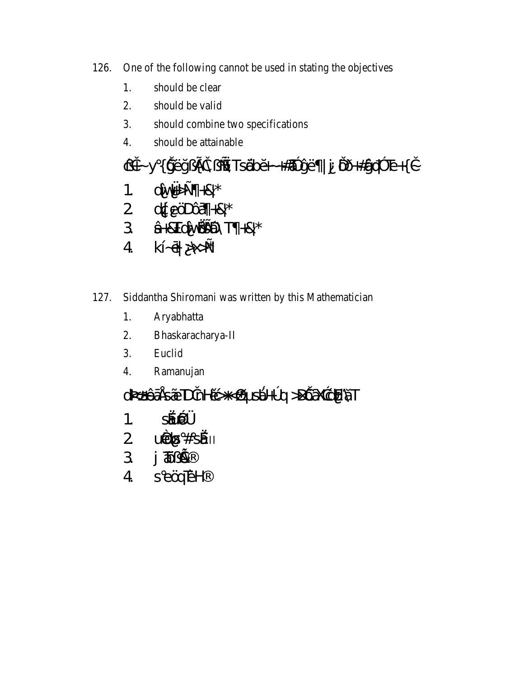- One of the following cannot be used in stating the objectives 126.
	- 1. should be clear
	- $\overline{2}$ . should be valid
	- $\overline{3}$ . should combine two specifications
	- $\overline{4}$ . should be attainable

CH-y{ýËÿ¿£ì\¿\_\*\Ts@bo-+#?}yE |j OD+#gqq3 Te+{i-1.  $d \hat{W}^{\prime} + R^{\star}$  $2$  or  $eCDOA + 8$ \* 3 <del>Â+</del>&TdÎv@@DNT +&\*  $4 k \hat{6} \rightarrow \hat{2}$ 

- Siddantha Shiromani was written by this Mathematician 127.
	- 1. Aryabhatta
	- $\overline{2}$ . Bhaskaracharya-II
	- 3. Euclid
	- 4. Ramanujan

## d3%44搴SÃEDinHûş+<, sÁ+°q>DÊêXaçEÄT

- $SAD0\frac{1}{4}$  $1<sup>1</sup>$
- $2$   $u\ddot{\omega}$  $\otimes$   $\#$   $\sin$
- $3 \text{ J} \ddot{\textbf{A}} \ddot{\textbf{B}}$
- 4 seärEH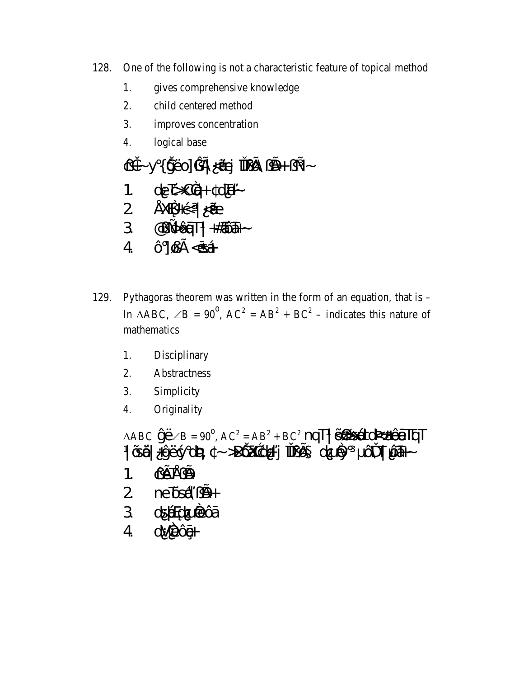- One of the following is not a characteristic feature of topical method 128.
	- gives comprehensive knowledge 1.
	- $\overline{2}$ . child centered method
	- $\mathcal{E}$ improves concentration
	- $\overline{4}$ . logical base
	- $\mathcal{Q}$ i y { y̆Eo]  $\mathcal{Q}$ if < $\mathcal{H}$  TIE $\mathcal{D}$  i  $\mathcal{Y}$  +  $\mathcal{Z}$  -1.  $de\overline{b}C\overline{q}+d\overline{h} 2$  ¥XQ+ $\frac{1}{5}$   $\sqrt{4}$  $3 \qquad \textcircled{q.g.} \widehat{\text{Qf}} \text{d} \text{T} \mid \text{#} \widehat{\text{d}} \widehat{\text{d}} \text{H} \sim$  $4$   $\hat{O}$   $\cancel{QE}$  <  $\cancel{SA}$
- Pythagoras theorem was written in the form of an equation, that is  $-$ 129. In  $\triangle ABC$ ,  $\angle B = 90^{\circ}$ ,  $AC^2 = AB^2 + BC^2$  – indicates this nature of mathematics
	- Disciplinary 1.
	- 2. Abstractness
	- 3. Simplicity
	- $\overline{4}$ . Originality

 $|\tilde{Q}$ AQ +yEgyd2y4 ~ >DOX acH+ j $\Pi \tilde{Q}$  d $\tilde{Q}$ Ay ONT  $\tilde{Q}$ AH  $\tilde{Q}$ AH  $\tilde{Q}$  $QE E/D$  $1<sub>1</sub>$ 2 neTGA<sub>Z</sub>D+ 3 dspodCienCá dVÈÔG- $\overline{4}$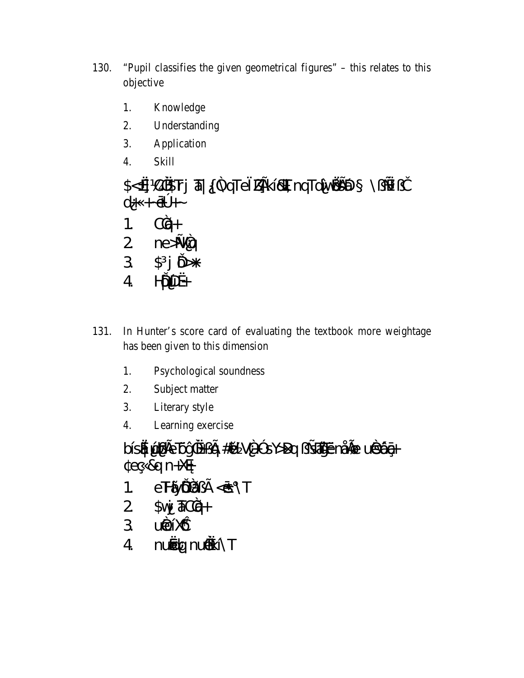- 130. "Pupil classifies the given geometrical figures" – this relates to this objective
	- Knowledge 1.
	- 2. Understanding
	- $3.$ Application
	- $\overline{4}$ . **Skill**

\$<<d C&Fj & { 2qTe ZEK EXT nqTdlv@@  $\setminus$ از  $\mathbb{R}$  $d+ + \hat{\Phi}$ + 1.  $C\tilde{q}$ + 2  $ne\cancel{14}q$ <br>3  $\cancel{5}j\cancel{0}+$  $H\tilde{D}D\!R+$  $4<sup>1</sup>$ 

- 131. In Hunter's score card of evaluating the textbook more weightage has been given to this dimension
	- Psychological soundness 1.
	- 2. Subject matter
	- $\overline{3}$ . Literary style
	- $\overline{4}$ . Learning exercise

bÍsÁ lálj fe Dý<sup>2</sup>«+¿fq #âl V<sup>2+3</sup> sY>Dq ¿sálýËnÅl@r uðsÓg $eC$ &g n+ $X\oplus$ 

- eHÝÕã¿£ < S\T  $\mathbf{1}$ .
- $\overline{2}$  $\mathbb{S}$ vý  $\overline{a}C\overline{q}+$
- 3 uidelike
- nuódq nuðkÍ\T  $\overline{4}$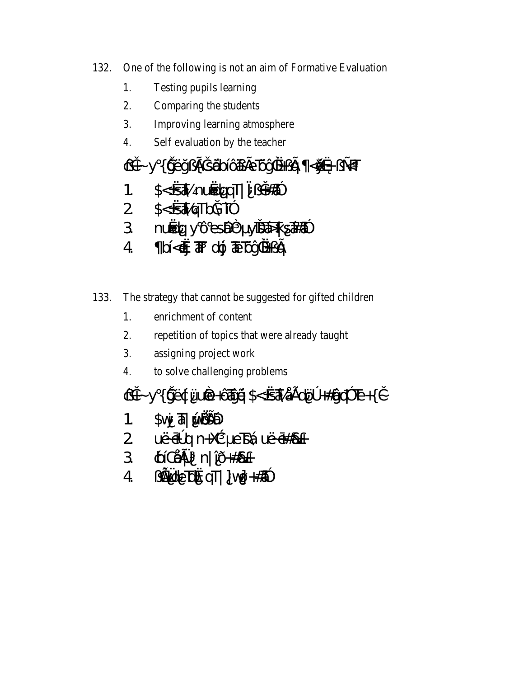- 132. One of the following is not an aim of Formative Evaluation
	- Testing pupils learning 1.
	- $2.$ Comparing the students
	- $\overline{3}$ . Improving learning atmosphere
	- $\overline{4}$ . Self evaluation by the teacher

- The strategy that cannot be suggested for gifted children 133.
	- $1.$ enrichment of content
	- $\overline{2}$ . repetition of topics that were already taught
	- $3.$ assigning project work
	- to solve challenging problems 4.
	- CH- Y { VEC WEE+OTYER S<< SAAEOO +#STER } +
	- $1.$  Svj  $\overline{a}$  Vigen
	- 2 UE-60 q n + X ae e B A UE-6#84+
	- 3 \$50 \$44 n |  $1 8 + 8$
	- ji00deTd&qT|]v00+#3P  $\overline{4}$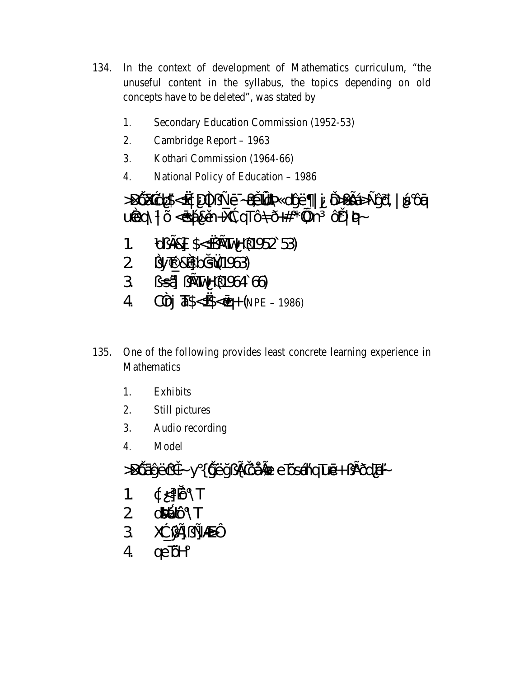- 134. In the context of development of Mathematics curriculum, "the unuseful content in the syllabus, the topics depending on old concepts have to be deleted", was stated by
	- 1. Secondary Education Commission (1952-53)
	- $2.$ Cambridge Report - 1963
	- $\mathcal{E}$ Kothari Commission (1964-66)
	- $\overline{4}$ National Policy of Education - 1986

>DÔXagli\$<<ddf bldd + 4 xdY4dtyE | j DbjfsÁ>+ýñ, | is Ôq ured | O < os A&un+Xabard OA D+# \* win O\* | 8/4

- CU: ERS S< & EXTUH (1952 53)  $\mathbf{1}$ .
- 2 {y\\te & 3 | b|\$\$\\$4963}
- 3 isA in Mars (1964 66)
- $Cf1$   $\overline{4}S <$   $\&$   $\infty$   $(9 + 6)$   $NPE 1986$  $\overline{4}$
- One of the following provides least concrete learning experience in 135. Mathematics
	- 1. **Exhibits**
	- 2. Still pictures
	- $3.$ Audio recording
	- Model  $\overline{4}$ .

>DÔáýËçì + y { iýË y ¿ fù ÔÅLØ e lOstAng Lué + ¿ fEDOT + ~

- 1.  $\phi \leq \hat{D} \setminus T$
- 2 d344QONT
- 3 次逆用之非》
- $4 \quad \text{qe} \overrightarrow{D}$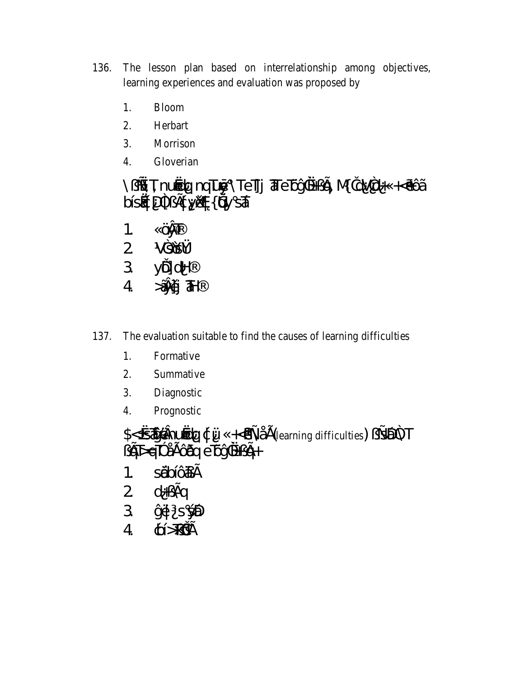- The lesson plan based on interrelationship among objectives, 136. learning experiences and evaluation was proposed by
	- 1. **Bloom**
	- $2.$ Herbart
	- $3.$ Morrison
	- $\overline{4}$ . Gloverian

\¿s\T nuódq nqlūoj \Tellj alerÖy?«+¿q{ MidV2d+ +<oo^A DISA DI LEQ VISA (USA SÃ

- ÖVT  $1<sub>1</sub>$
- $2$   $V30V_4$
- 3 yÖdH
- $4$   $\tilde{A}$   $\tilde{A}$
- The evaluation suitable to find the causes of learning difficulties 137.
	- 1. Formative
	- Summative 2.
	- 3. Diagnostic
	- $\overline{4}$ . Prognostic

\$< <*if* **Enuóla** d Ü +< & A Å E (learning difficulties)  $\angle$  549 A T  $\angle$  G T > E C B a E D  $\angle$  G T  $\angle$  E C B a E D  $\angle$  G +

- 1. sŐdóé£
- $2$  d+ $\chi$  for
- 3 y甘 s **绝**
- $4 \quad \phi > \bar{\mu} \in$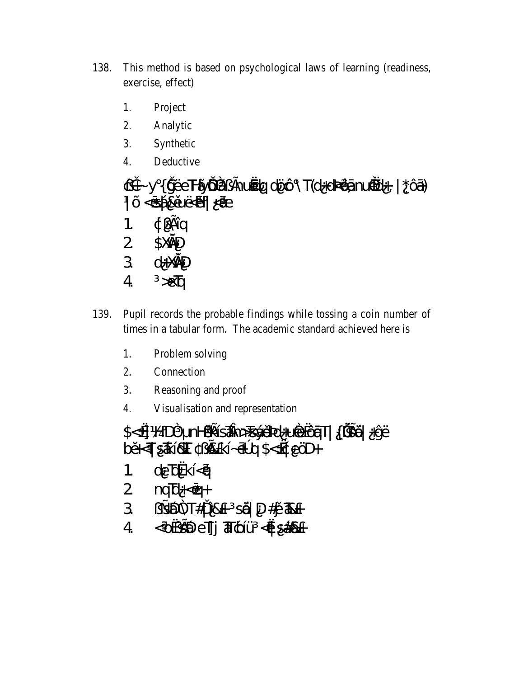- 138. This method is based on psychological laws of learning (readiness, exercise, effect)
	- 1. Project
	- 2. Analytic
	- $3.$ Synthetic
	- $\overline{4}$ . Deductive

city y { iyEeTHYO az Enurola dOO \T(d+d3@Enur3d+, | \*Osi)  $|\tilde{O}$ < $\sigma$ Asûlikbi $|\ll$ E  $\hat{P}(\vec{x})$  $1<sub>1</sub>$  $\overline{2}$ \$XGND  $\overline{3}$  $d + \lambda$  $\overline{4}$  $\mathcal{L}$ 

- 139. Pupil records the probable findings while tossing a coin number of times in a tabular form. The academic standard achieved here is
	- $1.$ Problem solving
	- 2. Connection
	- 3. Reasoning and proof
	- Visualisation and representation  $\overline{4}$ .

\$<<d HD2 nH¿RÍSÁMD>TSÝOB24+UÃB<ÔQT|{I/SIŐ|+ÝË bā<TSTKIBT ) BKI-0ºq\$<<br />peOH

- de bkkí<á  $1<sup>1</sup>$
- $2$   $nq\bar{b} + \bar{c} +$
- 3 *i*sépa T#1 18+ sé1 D#jû T&+
- $\overline{4}$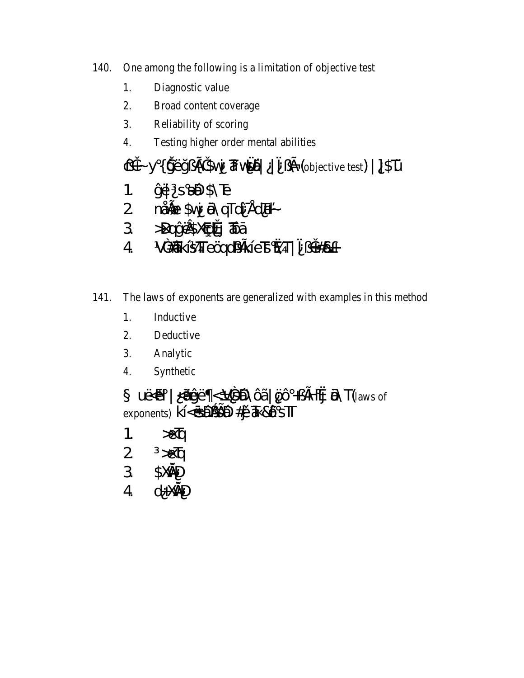- One among the following is a limitation of objective test 140.
	- 1. Diagnostic value
	- $2.$ Broad content coverage
	- $\overline{3}$ . Reliability of scoring
	- $\overline{4}$ . Testing higher order mental abilities
	- CH- y { yEy ¿ El Svy & vs4 | ¿ E (objective test) | ] SU
	- 1.  $\circ$   $\sharp$  s  $\sharp$   $\sharp$   $\sharp$   $\sharp$
	- 2 mÅGB \$vj ÄNGTdÎ ¥dT+~
	- 3 >Dqy Ets X@Lúj a Dá
	- 4 V<sup>2</sup> #2 K ISTT e Qqq32 K I e E & T | <sup>-</sup> i + #2 +
- 141. The laws of exponents are generalized with examples in this method
	- Inductive 1.
	- $\overline{2}$ . Deductive
	- $3.$ Analytic
	- Synthetic 4.

 $U \times H$   $\rightarrow$   $U \times H$   $\rightarrow$   $V \times H$   $\rightarrow$   $H$   $\rightarrow$   $H$   $\rightarrow$   $H$   $\rightarrow$   $H$   $\rightarrow$   $H$   $\rightarrow$   $H$   $\rightarrow$   $H$  $\rightarrow$   $H$ exponents) kl<6Dy SD #jj & & OSTT

- $\mathbf{1}$ .  $\mathcal{L}$
- $\overline{2}$  $\mathcal{E}$
- 3 **SXOND**
- $\overline{A}$  $d + \times dD$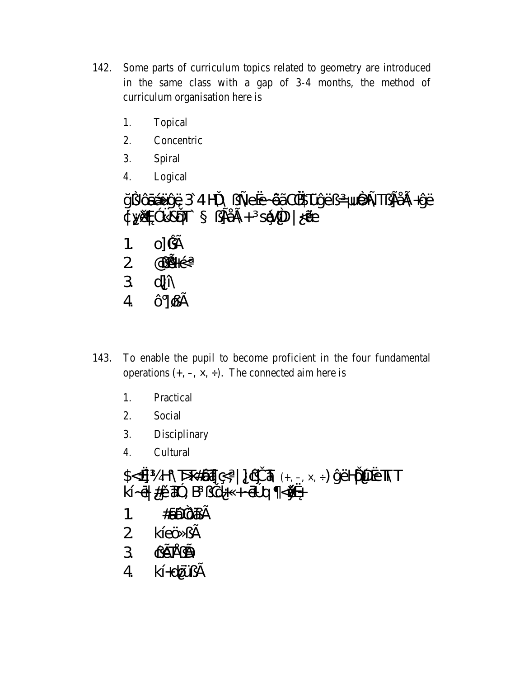- 142. Some parts of curriculum topics related to geometry are introduced in the same class with a gap of 3-4 months, the method of curriculum organisation here is
	- 1. Topical
	- 2. Concentric
	- 3. Spiral
	- $\overline{4}$ . Logical

ÿ¿ÔáÁÚýË34H\\¿Aexe~ÔÃC%STÚýË¿=UÔAT¿FÅB+ýË<br>¢yĂ\$<sup>31</sup>/&QT` ¿FÅB+ sÍŞ/4D|<ÄE o] ü£ 1.  $2$  @ $E+$ ç  $3$  dj $\hat{N}$  $4$   $\hat{O}$   $\cancel{\mathcal{Q}}$   $E$ 

- To enable the pupil to become proficient in the four fundamental 143. operations  $(+, -, \times, \div)$ . The connected aim here is
	- 1. Practical
	- $2.$ Social
	- $3.$ Disciplinary
	- $\overline{4}$ . Cultural

 $S < d$  H \  $\overline{D}$   $\overline{E}$   $\overline{E}$   $\overline{E}$   $\overline{E}$   $\overline{E}$   $\overline{E}$   $\overline{E}$   $\overline{E}$   $\overline{E}$   $\overline{E}$   $\overline{E}$   $\overline{E}$   $\overline{E}$   $\overline{E}$   $\overline{E}$   $\overline{E}$   $\overline{E}$   $\overline{E}$   $\overline{E}$   $\overline{E}$   $\overline{E}$   $\overline{E}$   $\overline$  $k\hat{i}$ - $\vec{\theta}$  # $\hat{\mu}$  $\hat{a}$  # $\hat{\theta}$  ,  $B$   $\hat{\mu}$  $\hat{d}$  +  $\hat{\theta}$   $\hat{\theta}$  q  $\hat{\theta}$ 1.  $\#sDQAE$  $2$  kĺeÖ  $2E$ 3 QETED  $4$   $k[+d00]$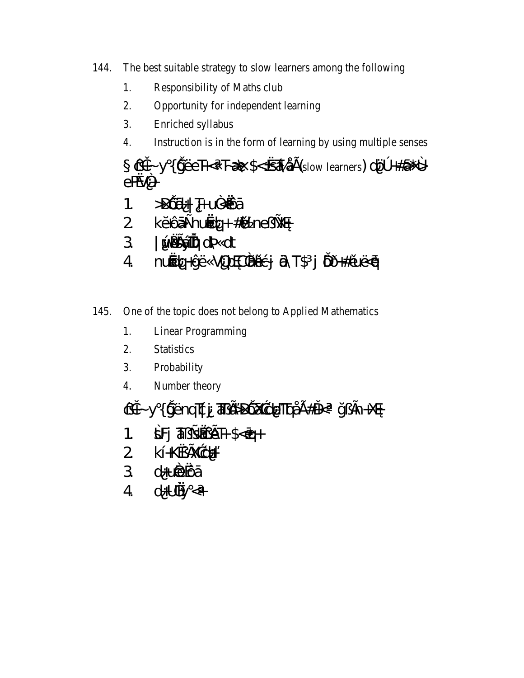- The best suitable strategy to slow learners among the following 144.
	- Responsibility of Maths club 1.
	- $2.$ Opportunity for independent learning
	- 3. Enriched syllabus
	- Instruction is in the form of learning by using multiple senses  $\overline{4}$ .

CH- y { yEeT-< T-A \$< <AAE(slow learners) dO +#a<sup>\*</sup>}  $e\overline{R}$ /2+

- $>$  $D\hat{D}d+$   $\frac{1}{2}$   $H\cup\hat{C}d\hat{D}d$  $1<sup>1</sup>$
- 2 kõÔá±nuódq+#ûlne<sub>i</sub>\_¥ø
- 3 | WAWTO OV4 Ot
- nuódq+ýË VORCZBÚG; ÖNT\$ j ÖDH#ûUE<ó  $\overline{4}$
- 145. One of the topic does not belong to Applied Mathematics
	- 1. **Linear Programming**
	- $\overline{2}$ . **Statistics**
	- 3. Probability
	- $\overline{4}$ . Number theory
	- cit-y{iyEnqīçi at EDOXade ToAE#it< yzfn+Xo
	- $SFJ$   $\overline{d}$   $\overline{d}$   $\overline{d}$   $\overline{f}$   $\overline{f}$   $\overline{f}$   $\overline{f}$   $\overline{f}$   $\overline{f}$   $\overline{f}$   $\overline{f}$   $\overline{f}$   $\overline{f}$   $\overline{f}$   $\overline{f}$   $\overline{f}$   $\overline{f}$   $\overline{f}$   $\overline{f}$   $\overline{f}$   $\overline{f}$   $\overline{f}$   $\overline{f}$   $\overline{f}$   $1<sup>1</sup>$
	- 2 kÍ+K&fXaçli+
	- 3 d+uie că
	- $4$  d+Uky  $\lt$ +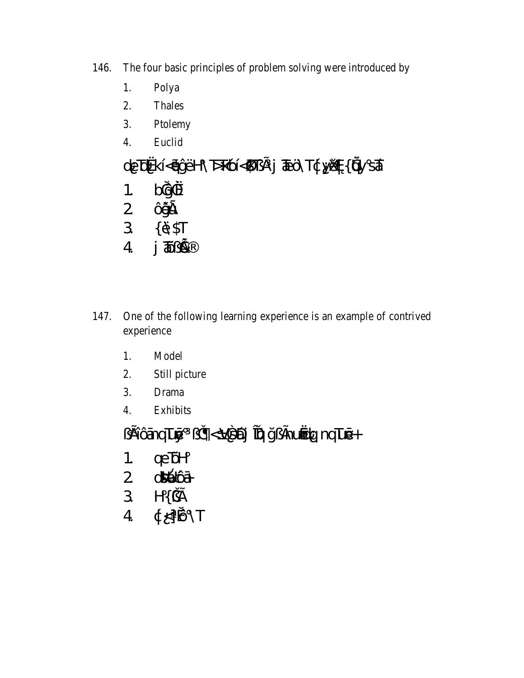146. The four basic principles of problem solving were introduced by

- Polya 1.
- $2.$ Thales
- Ptolemy  $\overline{3}$ .
- Euclid  $\overline{4}$ .

# deTokkÍ<áýËH\T>T¢Ó{\$T¿£j TEÖ\T¢y¤¤{voysá

- $b\phi$   $\frac{2}{x}$  $\mathbf{1}$ .
- 2 Ûyîd
- 3 { Ä\$T
- $4 \quad j \overline{4} \overline{2}$
- One of the following learning experience is an example of contrived 147. experience
	- Model 1.
	- Still picture  $2.$
	- $\overline{3}$ . **Drama**
	- $\overline{4}$ . **Exhibits**

i <Vs4) Tay ji kuota quu té+ (إن ElÔánqluó)

- qeTOH  $1.$
- 
- 
- $2 \frac{d^{3}A \hat{C}A}{d^{2}}$ <br>  $3 \frac{H(\hat{C}A)}{d}$ <br>  $4 \frac{d}{d} < 1$  (10) \times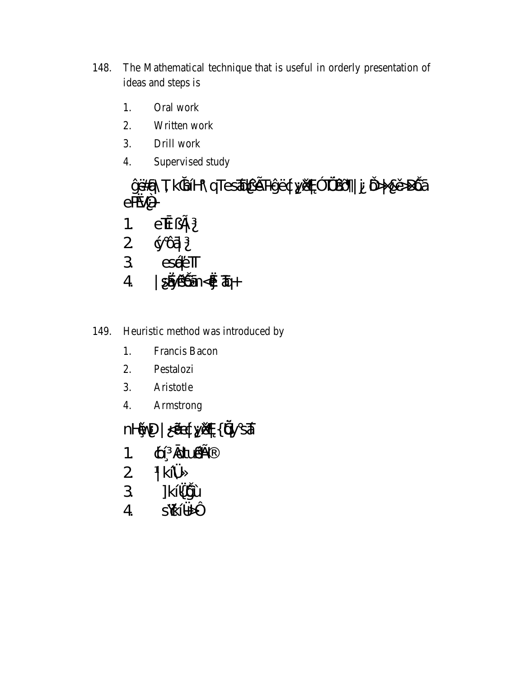- 148. The Mathematical technique that is useful in orderly presentation of ideas and steps is
	- 1. Oral work
	- $2.$ Written work
	- $3.$ Drill work
	- $\overline{4}$ . Supervised study

ýË#éj\Tk|pbĺH\qTesĂdceF+ýËçty)Xop<sup>3</sup>T%AQÕ|j D>|&û>DÔá  $e\overline{R}V^2$ 

- $e\vec{b}$   $\Delta$  $1<sub>1</sub>$
- 
- $\begin{array}{cc} 2 & \text{g} \tilde{\text{O}}\tilde{\text{H}} \\ 3 & \text{e} \tilde{\text{H}}\tilde{\text{e}} \text{H} \end{array}$
- SÁYLLŐn<Ój Tq+  $4<sup>1</sup>$

### Heuristic method was introduced by 149.

- 1. Francis Bacon
- $2.$ Pestalozi
- 3. Aristotle
- $\overline{4}$ . Armstrong

nHOND | ⊲ÄEç}yǔX¢{ŭAy sÁ

- **¢** attuer 1.
- $2$  |  $k$ [ $X_4$ ]
- 3 ]kĺ{*k*jÙ
- $4<sup>1</sup>$ S\<u>¢</u>ĺ¥≽´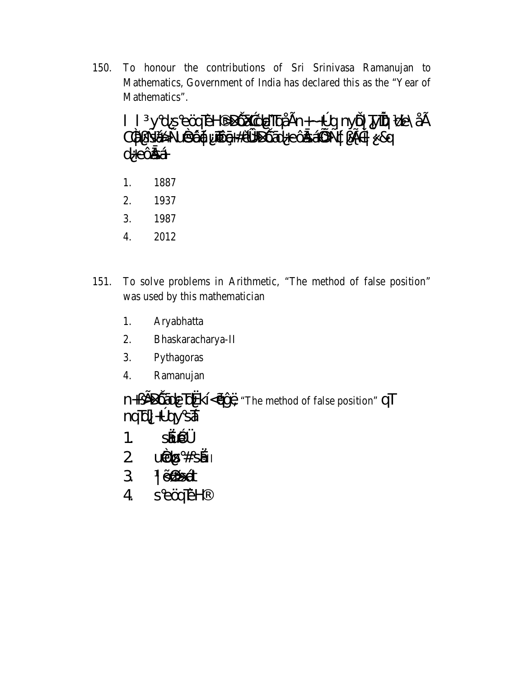To honour the contributions of Sri Srinivasa Ramanujan to 150. Mathematics, Government of India has declared this as the "Year of Mathematics".

### II y d s eÖqTEH >DÔXxedeTtqÅEn+~+°q nyÖ| TyiTQP de\ÅE C#z EÁ>±UGSQQt UTOGHOXODOZOHECZEÁUX±Qz EH 8q d+eÔăÂ

- 1887 1.
- $\overline{2}$ . 1937
- 3. 1987
- $\overline{4}$ . 2012
- To solve problems in Arithmetic, "The method of false position" 151. was used by this mathematician
	- Aryabhatta 1.
	- Bhaskaracharya-II  $2.$
	- Pythagoras  $3.$
	- Ramanujan  $\overline{4}$ .

n+¿EDÔádeTokKl<OjvE "The method of false position" QT  $mg\bar{d}$  +  $\bar{p}$  +  $\bar{p}$ 

- $SAD<sup>2</sup>/4$  $\mathbf{1}$ .
- $2 u \ddot{\omega}$   $8# s \ddot{a}$
- $3$   $|\tilde{Q}|\leq d$ t
- seärEH  $\overline{4}$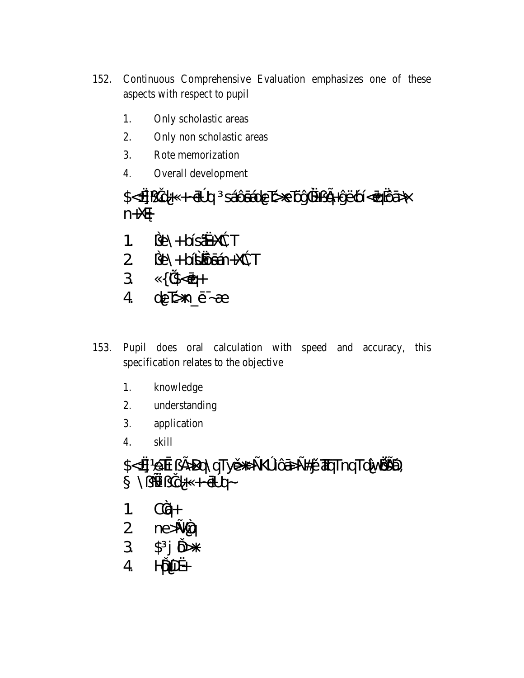- Continuous Comprehensive Evaluation emphasizes one of these 152. aspects with respect to pupil
	- 1. Only scholastic areas
	- 2. Only non scholastic areas
	- 3. Rote memorization
	- $\overline{4}$ . Overall development

 $n + X \oplus$ 

- 1.  $\text{J}e\rightarrow \text{bfs}$
- 
- $3\sqrt{12}-6$
- $4$  de $\natural$  n\_ $6 \not A$
- Pupil does oral calculation with speed and accuracy, this 153. specification relates to the objective
	- knowledge  $1<sub>1</sub>$
	- $2.$ understanding
	- $3.$ application
	- $\overline{4}$ . skill

## \$<<deTb;EDQ\qTy&+>+K°IQ\$++#jù7TqTqTdlv@@Q  $\rightarrow$ -p�-+ +bij  $\pm$

- 1.  $C\tilde{q}$ +
- 2  $ne\cancel{12}$
- $3 \quad $j \nleftrightarrow$
- $4$   $H\tilde{D}D+$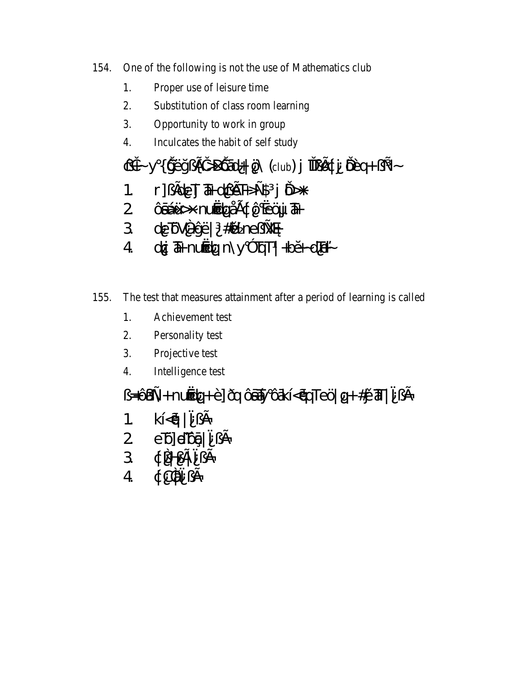- 154. One of the following is not the use of Mathematics club
	- Proper use of leisure time 1.
	- $2.$ Substitution of class room learning
	- $\mathcal{E}$ Opportunity to work in group
	- $\overline{4}$ . Inculcates the habit of self study

## $\mathcal{Q}$ i - y { y̆EyzEi >  $D\hat{Q}$ id+| Ö (club) j  $\mathbb{E}[\hat{Q}]$ tj  $\hat{Q}$ Eq+  $z \pm z$

- $1.$  r]  $j$  fole  $J$   $\overline{a}$  + olge  $F \rightarrow \pm \$  j  $D +$
- 2 ÔáÁÜ > nước pÁE ¢Ô côj Th
- 3 de ÖV<sup>2</sup>+ýË | #û ne ¿<del>X</del>ø
- $4$  dŷ  $\overline{a}$  nuodq n \y  $3$  b<sub>1</sub>T | +ba -dTi-

#### The test that measures attainment after a period of learning is called 155.

- 1. Achievement test
- $\overline{2}$ . Personality test
- $3.$ Projective test
- $\overline{4}$ . Intelligence test

£خ = اَلآتِ = اللهَ تَابِعَ = الله عَلاج ضور عَلا = الله عَلاج ضور عَلاج خ

1. 
$$
k\left[\langle\vec{q}\rangle\right]^{-}i\hat{E}
$$

- $2$  eQeQe $\hat{q}$  =  $\hat{q}$
- $3 \notin \mathbb{Z}$   $\exists$
- $4\qquad \qquad \downarrow \mathbb{C}$   $\qquad \qquad \downarrow \mathbb{C}$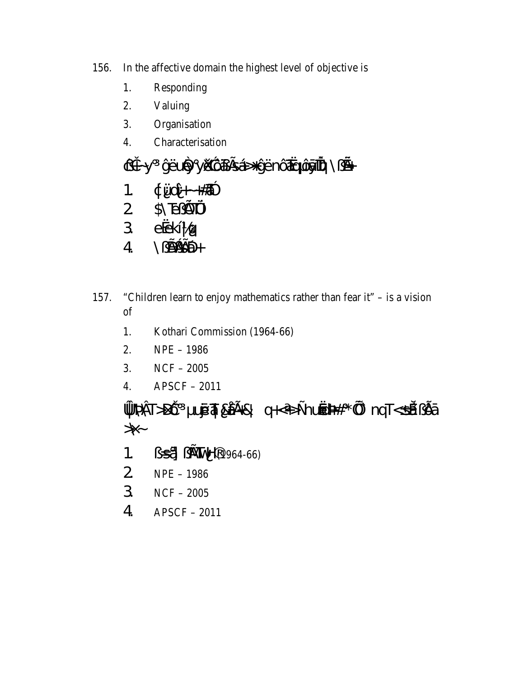- In the affective domain the highest level of objective is 156.
	- Responding 1.
	- Valuing  $2.$
	- Organisation  $\overline{3}$ .
	- Characterisation  $\overline{4}$ .

CH-y ýËury yikké EÁSHýËnÔTrqÔjiTqP\¿&+ 1.  $\phi$  Uni + +  $\#\n$ 2 \$\<del>T</del>e ET% 3 eeklg  $4\qquad \qquad \qquad \qquad 4\qquad \qquad \qquad 4\qquad \qquad \qquad 4\qquad \qquad 4\qquad \qquad 4\qquad \qquad 4\qquad \qquad 4\qquad \qquad 4\qquad \qquad 4\qquad \qquad 4\qquad \qquad 4\qquad \qquad 4\qquad \qquad 4\qquad \qquad 4\qquad \qquad 4\qquad \qquad 4\qquad \qquad 4\qquad \qquad 4\qquad \qquad 4\qquad \qquad 4\qquad \qquad 4\qquad \qquad 4\qquad \qquad 4\qquad \qquad 4\qquad \qquad 4\qquad \qquad$ 

- 157. "Children learn to enjoy mathematics rather than fear it"  $-$  is a vision of
	- 1. Kothari Commission (1964-66)
	- $NPE 1986$  $2.$
	- 3.  $NCF - 2005$
	- $4.$  $APSCF - 2011$

» VAT>DÔ ujó 41 & AG-& q+<+>±numák \* µi nqT<sá  $\lambda$ 

- (1964-66) ETMH(1964-66 1.
- $2$  NPE 1986
- $3<sup>7</sup>$  $NCF - 2005$
- $\overline{4}$  $APSCF - 2011$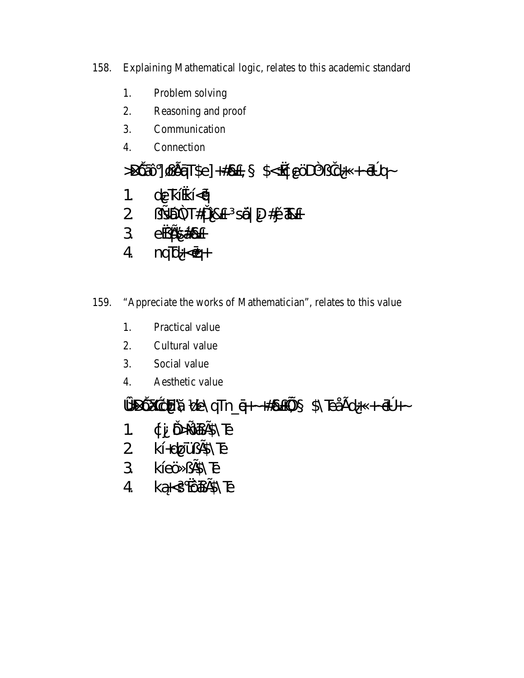- Explaining Mathematical logic, relates to this academic standard 158.
	- 1. Problem solving
	- $2.$ Reasoning and proof
	- $\mathcal{E}$ Communication
	- $\overline{4}$ . Connection

 $\Rightarrow$ DÔzÔ]@ÔzīT\$e] +#&+, \$<<do $\Rightarrow$ cO $\Rightarrow$ c)d+ + $\Rightarrow$ q

- de kĺ kĺ<ó  $1<sup>1</sup>$
- 2 is 1947#1 18+ s4 D#ji T&+
- 3 exfstat
- $4$  nq\b+  $\circ$  nq\b+
- "Appreciate the works of Mathematician", relates to this value 159.
	- 1. Practical value
	- $2<sub>1</sub>$ Cultural value
	- $\overline{3}$ . Social value
	- $4.$ Aesthetic value

» DÔXaçIE & de\qTn\_q+~+#&+Hu \$\TeAEd+++ @+~

- ¢j Ö-ÔáfS\E  $1.$
- $2$   $k[+d00 \cdot 65]$
- 3 kleÖ ¿£\$\Te
- 4 kå<s ÔáBNE